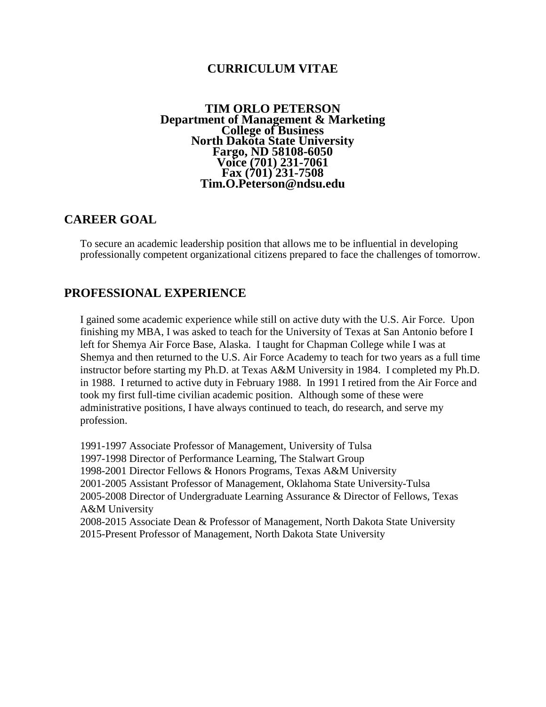# **CURRICULUM VITAE**

# **TIM ORLO PETERSON**<br>Department of Management & Marketing **Department of Management & Marketing College of Business North Dakota State University Fargo, ND 58108-6050 Voice (701) 231-7061 Fax (701) 231-7508 Tim.O.Peterson@ndsu.edu**

# **CAREER GOAL**

To secure an academic leadership position that allows me to be influential in developing professionally competent organizational citizens prepared to face the challenges of tomorrow.

# **PROFESSIONAL EXPERIENCE**

I gained some academic experience while still on active duty with the U.S. Air Force. Upon finishing my MBA, I was asked to teach for the University of Texas at San Antonio before I left for Shemya Air Force Base, Alaska. I taught for Chapman College while I was at Shemya and then returned to the U.S. Air Force Academy to teach for two years as a full time instructor before starting my Ph.D. at Texas A&M University in 1984. I completed my Ph.D. in 1988. I returned to active duty in February 1988. In 1991 I retired from the Air Force and took my first full-time civilian academic position. Although some of these were administrative positions, I have always continued to teach, do research, and serve my profession.

1991-1997 Associate Professor of Management, University of Tulsa 1997-1998 Director of Performance Learning, The Stalwart Group 1998-2001 Director Fellows & Honors Programs, Texas A&M University 2001-2005 Assistant Professor of Management, Oklahoma State University-Tulsa 2005-2008 Director of Undergraduate Learning Assurance & Director of Fellows, Texas A&M University 2008-2015 Associate Dean & Professor of Management, North Dakota State University 2015-Present Professor of Management, North Dakota State University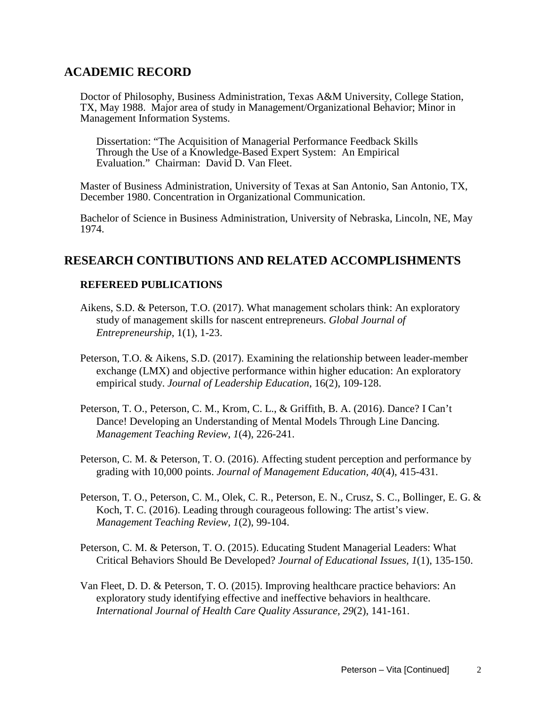# **ACADEMIC RECORD**

Doctor of Philosophy, Business Administration, Texas A&M University, College Station, TX, May 1988. Major area of study in Management/Organizational Behavior; Minor in Management Information Systems.

Dissertation: "The Acquisition of Managerial Performance Feedback Skills Through the Use of a Knowledge-Based Expert System: An Empirical Evaluation." Chairman: David D. Van Fleet.

Master of Business Administration, University of Texas at San Antonio, San Antonio, TX, December 1980. Concentration in Organizational Communication.

Bachelor of Science in Business Administration, University of Nebraska, Lincoln, NE, May 1974.

# **RESEARCH CONTIBUTIONS AND RELATED ACCOMPLISHMENTS**

## **REFEREED PUBLICATIONS**

- Aikens, S.D. & Peterson, T.O. (2017). What management scholars think: An exploratory study of management skills for nascent entrepreneurs. *Global Journal of Entrepreneurship*, 1(1), 1-23.
- Peterson, T.O. & Aikens, S.D. (2017). Examining the relationship between leader-member exchange (LMX) and objective performance within higher education: An exploratory empirical study. *Journal of Leadership Education*, 16(2), 109-128.
- Peterson, T. O., Peterson, C. M., Krom, C. L., & Griffith, B. A. (2016). Dance? I Can't Dance! Developing an Understanding of Mental Models Through Line Dancing. *Management Teaching Review*, *1*(4), 226-241.
- Peterson, C. M. & Peterson, T. O. (2016). Affecting student perception and performance by grading with 10,000 points. *Journal of Management Education, 40*(4), 415-431.
- Peterson, T. O., Peterson, C. M., Olek, C. R., Peterson, E. N., Crusz, S. C., Bollinger, E. G. & Koch, T. C. (2016). Leading through courageous following: The artist's view. *Management Teaching Review, 1*(2), 99-104.
- Peterson, C. M. & Peterson, T. O. (2015). Educating Student Managerial Leaders: What Critical Behaviors Should Be Developed? *Journal of Educational Issues, 1*(1), 135-150.
- Van Fleet, D. D. & Peterson, T. O. (2015). Improving healthcare practice behaviors: An exploratory study identifying effective and ineffective behaviors in healthcare. *International Journal of Health Care Quality Assurance, 29*(2), 141-161.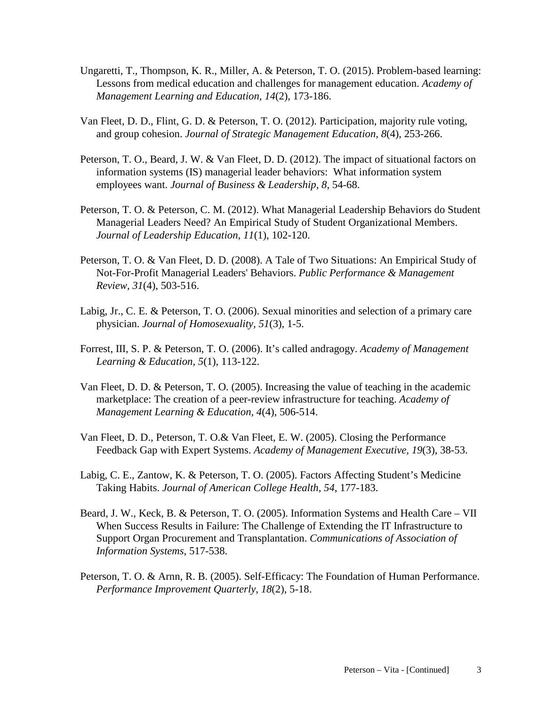- Ungaretti, T., Thompson, K. R., Miller, A. & Peterson, T. O. (2015). Problem-based learning: Lessons from medical education and challenges for management education. *Academy of Management Learning and Education, 14*(2), 173-186.
- Van Fleet, D. D., Flint, G. D. & Peterson, T. O. (2012). Participation, majority rule voting, and group cohesion. *Journal of Strategic Management Education, 8*(4), 253-266.
- Peterson, T. O., Beard, J. W. & Van Fleet, D. D. (2012). The impact of situational factors on information systems (IS) managerial leader behaviors: What information system employees want. *Journal of Business & Leadership, 8*, 54-68.
- Peterson, T. O. & Peterson, C. M. (2012). What Managerial Leadership Behaviors do Student Managerial Leaders Need? An Empirical Study of Student Organizational Members. *Journal of Leadership Education, 11*(1), 102-120.
- Peterson, T. O. & Van Fleet, D. D. (2008). A Tale of Two Situations: An Empirical Study of Not-For-Profit Managerial Leaders' Behaviors. *Public Performance & Management Review, 31*(4), 503-516.
- Labig, Jr., C. E. & Peterson, T. O. (2006). Sexual minorities and selection of a primary care physician. *Journal of Homosexuality, 51*(3), 1-5.
- Forrest, III, S. P. & Peterson, T. O. (2006). It's called andragogy. *Academy of Management Learning & Education, 5*(1), 113-122.
- Van Fleet, D. D. & Peterson, T. O. (2005). Increasing the value of teaching in the academic marketplace: The creation of a peer-review infrastructure for teaching. *Academy of Management Learning & Education, 4*(4), 506-514.
- Van Fleet, D. D., Peterson, T. O.& Van Fleet, E. W. (2005). Closing the Performance Feedback Gap with Expert Systems. *Academy of Management Executive, 19*(3), 38-53.
- Labig, C. E., Zantow, K. & Peterson, T. O. (2005). Factors Affecting Student's Medicine Taking Habits. *Journal of American College Health, 54*, 177-183.
- Beard, J. W., Keck, B. & Peterson, T. O. (2005). Information Systems and Health Care VII When Success Results in Failure: The Challenge of Extending the IT Infrastructure to Support Organ Procurement and Transplantation. *Communications of Association of Information Systems*, 517-538.
- Peterson, T. O. & Arnn, R. B. (2005). Self-Efficacy: The Foundation of Human Performance. *Performance Improvement Quarterly, 18*(2), 5-18.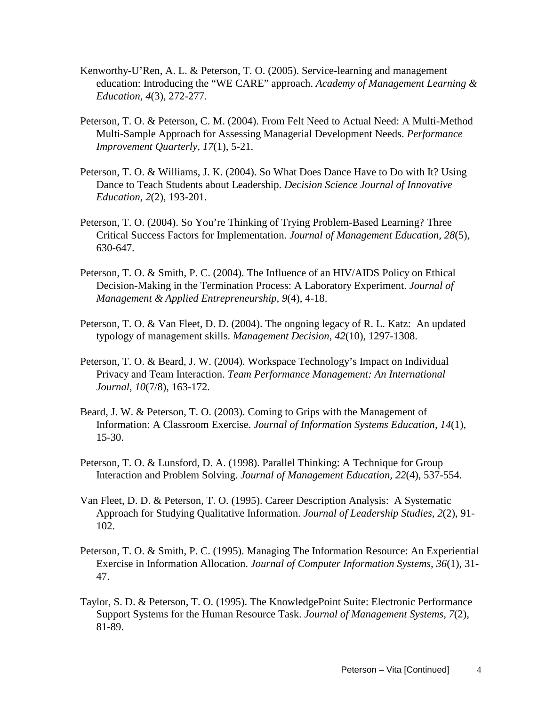- Kenworthy-U'Ren, A. L. & Peterson, T. O. (2005). Service-learning and management education: Introducing the "WE CARE" approach. *Academy of Management Learning & Education, 4*(3), 272-277.
- Peterson, T. O. & Peterson, C. M. (2004). From Felt Need to Actual Need: A Multi-Method Multi-Sample Approach for Assessing Managerial Development Needs. *Performance Improvement Quarterly, 17*(1), 5-21.
- Peterson, T. O. & Williams, J. K. (2004). So What Does Dance Have to Do with It? Using Dance to Teach Students about Leadership. *Decision Science Journal of Innovative Education, 2*(2), 193-201.
- Peterson, T. O. (2004). So You're Thinking of Trying Problem-Based Learning? Three Critical Success Factors for Implementation. *Journal of Management Education, 28*(5), 630-647.
- Peterson, T. O. & Smith, P. C. (2004). The Influence of an HIV/AIDS Policy on Ethical Decision-Making in the Termination Process: A Laboratory Experiment. *Journal of Management & Applied Entrepreneurship, 9*(4), 4-18.
- Peterson, T. O. & Van Fleet, D. D. (2004). The ongoing legacy of R. L. Katz: An updated typology of management skills. *Management Decision, 42*(10), 1297-1308.
- Peterson, T. O. & Beard, J. W. (2004). Workspace Technology's Impact on Individual Privacy and Team Interaction. *Team Performance Management: An International Journal, 10*(7/8), 163-172.
- Beard, J. W. & Peterson, T. O. (2003). Coming to Grips with the Management of Information: A Classroom Exercise. *Journal of Information Systems Education, 14*(1), 15-30.
- Peterson, T. O. & Lunsford, D. A. (1998). Parallel Thinking: A Technique for Group Interaction and Problem Solving. *Journal of Management Education, 22*(4), 537-554.
- Van Fleet, D. D. & Peterson, T. O. (1995). Career Description Analysis: A Systematic Approach for Studying Qualitative Information. *Journal of Leadership Studies, 2*(2), 91- 102.
- Peterson, T. O. & Smith, P. C. (1995). Managing The Information Resource: An Experiential Exercise in Information Allocation. *Journal of Computer Information Systems, 36*(1), 31- 47.
- Taylor, S. D. & Peterson, T. O. (1995). The KnowledgePoint Suite: Electronic Performance Support Systems for the Human Resource Task. *Journal of Management Systems, 7*(2), 81-89.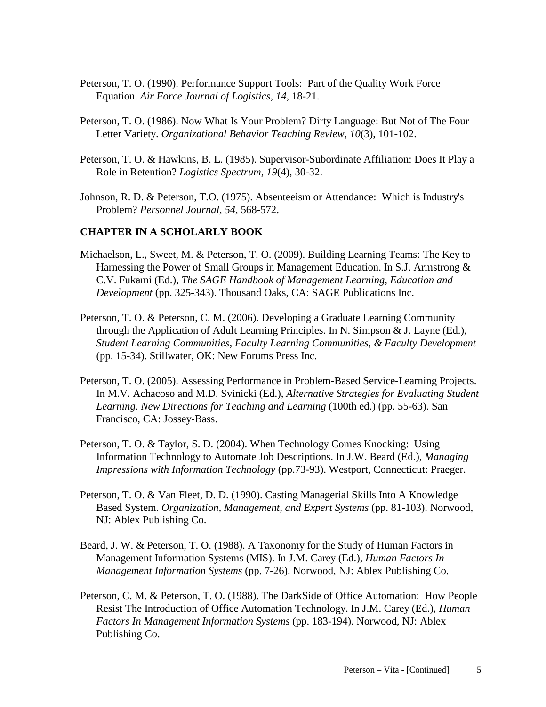- Peterson, T. O. (1990). Performance Support Tools: Part of the Quality Work Force Equation. *Air Force Journal of Logistics, 14*, 18-21.
- Peterson, T. O. (1986). Now What Is Your Problem? Dirty Language: But Not of The Four Letter Variety. *Organizational Behavior Teaching Review, 10*(3), 101-102.
- Peterson, T. O. & Hawkins, B. L. (1985). Supervisor-Subordinate Affiliation: Does It Play a Role in Retention? *Logistics Spectrum, 19*(4), 30-32.
- Johnson, R. D. & Peterson, T.O. (1975). Absenteeism or Attendance: Which is Industry's Problem? *Personnel Journal, 54*, 568-572.

#### **CHAPTER IN A SCHOLARLY BOOK**

- Michaelson, L., Sweet, M. & Peterson, T. O. (2009). Building Learning Teams: The Key to Harnessing the Power of Small Groups in Management Education. In S.J. Armstrong & C.V. Fukami (Ed.), *The SAGE Handbook of Management Learning, Education and Development* (pp. 325-343). Thousand Oaks, CA: SAGE Publications Inc.
- Peterson, T. O. & Peterson, C. M. (2006). Developing a Graduate Learning Community through the Application of Adult Learning Principles. In N. Simpson & J. Layne (Ed.), *Student Learning Communities, Faculty Learning Communities, & Faculty Development* (pp. 15-34). Stillwater, OK: New Forums Press Inc.
- Peterson, T. O. (2005). Assessing Performance in Problem-Based Service-Learning Projects. In M.V. Achacoso and M.D. Svinicki (Ed.), *Alternative Strategies for Evaluating Student Learning. New Directions for Teaching and Learning* (100th ed.) (pp. 55-63). San Francisco, CA: Jossey-Bass.
- Peterson, T. O. & Taylor, S. D. (2004). When Technology Comes Knocking: Using Information Technology to Automate Job Descriptions. In J.W. Beard (Ed.), *Managing Impressions with Information Technology* (pp.73-93). Westport, Connecticut: Praeger.
- Peterson, T. O. & Van Fleet, D. D. (1990). Casting Managerial Skills Into A Knowledge Based System. *Organization, Management, and Expert Systems* (pp. 81-103). Norwood, NJ: Ablex Publishing Co.
- Beard, J. W. & Peterson, T. O. (1988). A Taxonomy for the Study of Human Factors in Management Information Systems (MIS). In J.M. Carey (Ed.), *Human Factors In Management Information Systems* (pp. 7-26). Norwood, NJ: Ablex Publishing Co.
- Peterson, C. M. & Peterson, T. O. (1988). The DarkSide of Office Automation: How People Resist The Introduction of Office Automation Technology. In J.M. Carey (Ed.), *Human Factors In Management Information Systems* (pp. 183-194). Norwood, NJ: Ablex Publishing Co.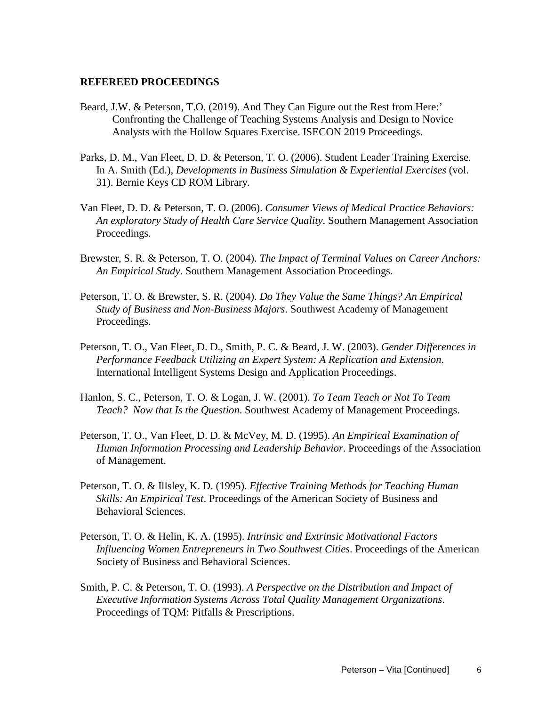#### **REFEREED PROCEEDINGS**

- Beard, J.W. & Peterson, T.O. (2019). And They Can Figure out the Rest from Here:' Confronting the Challenge of Teaching Systems Analysis and Design to Novice Analysts with the Hollow Squares Exercise. ISECON 2019 Proceedings.
- Parks, D. M., Van Fleet, D. D. & Peterson, T. O. (2006). Student Leader Training Exercise. In A. Smith (Ed.), *Developments in Business Simulation & Experiential Exercises* (vol. 31). Bernie Keys CD ROM Library.
- Van Fleet, D. D. & Peterson, T. O. (2006). *Consumer Views of Medical Practice Behaviors: An exploratory Study of Health Care Service Quality*. Southern Management Association Proceedings.
- Brewster, S. R. & Peterson, T. O. (2004). *The Impact of Terminal Values on Career Anchors: An Empirical Study*. Southern Management Association Proceedings.
- Peterson, T. O. & Brewster, S. R. (2004). *Do They Value the Same Things? An Empirical Study of Business and Non-Business Majors*. Southwest Academy of Management Proceedings.
- Peterson, T. O., Van Fleet, D. D., Smith, P. C. & Beard, J. W. (2003). *Gender Differences in Performance Feedback Utilizing an Expert System: A Replication and Extension*. International Intelligent Systems Design and Application Proceedings.
- Hanlon, S. C., Peterson, T. O. & Logan, J. W. (2001). *To Team Teach or Not To Team Teach? Now that Is the Question*. Southwest Academy of Management Proceedings.
- Peterson, T. O., Van Fleet, D. D. & McVey, M. D. (1995). *An Empirical Examination of Human Information Processing and Leadership Behavior*. Proceedings of the Association of Management.
- Peterson, T. O. & Illsley, K. D. (1995). *Effective Training Methods for Teaching Human Skills: An Empirical Test*. Proceedings of the American Society of Business and Behavioral Sciences.
- Peterson, T. O. & Helin, K. A. (1995). *Intrinsic and Extrinsic Motivational Factors Influencing Women Entrepreneurs in Two Southwest Cities*. Proceedings of the American Society of Business and Behavioral Sciences.
- Smith, P. C. & Peterson, T. O. (1993). *A Perspective on the Distribution and Impact of Executive Information Systems Across Total Quality Management Organizations*. Proceedings of TQM: Pitfalls & Prescriptions.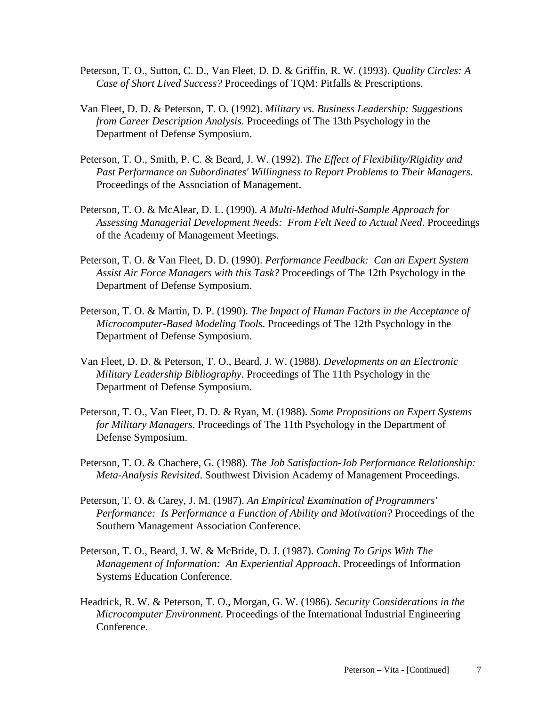- Peterson, T. O., Sutton, C. D., Van Fleet, D. D. & Griffin, R. W. (1993). *Quality Circles: A Case of Short Lived Success?* Proceedings of TQM: Pitfalls & Prescriptions.
- Van Fleet, D. D. & Peterson, T. O. (1992). *Military vs. Business Leadership: Suggestions from Career Description Analysis*. Proceedings of The 13th Psychology in the Department of Defense Symposium.
- Peterson, T. O., Smith, P. C. & Beard, J. W. (1992). *The Effect of Flexibility/Rigidity and Past Performance on Subordinates' Willingness to Report Problems to Their Managers*. Proceedings of the Association of Management.
- Peterson, T. O. & McAlear, D. L. (1990). *A Multi-Method Multi-Sample Approach for Assessing Managerial Development Needs: From Felt Need to Actual Need*. Proceedings of the Academy of Management Meetings.
- Peterson, T. O. & Van Fleet, D. D. (1990). *Performance Feedback: Can an Expert System Assist Air Force Managers with this Task?* Proceedings of The 12th Psychology in the Department of Defense Symposium.
- Peterson, T. O. & Martin, D. P. (1990). *The Impact of Human Factors in the Acceptance of Microcomputer-Based Modeling Tools*. Proceedings of The 12th Psychology in the Department of Defense Symposium.
- Van Fleet, D. D. & Peterson, T. O., Beard, J. W. (1988). *Developments on an Electronic Military Leadership Bibliography*. Proceedings of The 11th Psychology in the Department of Defense Symposium.
- Peterson, T. O., Van Fleet, D. D. & Ryan, M. (1988). *Some Propositions on Expert Systems for Military Managers*. Proceedings of The 11th Psychology in the Department of Defense Symposium.
- Peterson, T. O. & Chachere, G. (1988). *The Job Satisfaction-Job Performance Relationship: Meta-Analysis Revisited*. Southwest Division Academy of Management Proceedings.
- Peterson, T. O. & Carey, J. M. (1987). *An Empirical Examination of Programmers' Performance: Is Performance a Function of Ability and Motivation?* Proceedings of the Southern Management Association Conference.
- Peterson, T. O., Beard, J. W. & McBride, D. J. (1987). *Coming To Grips With The Management of Information: An Experiential Approach*. Proceedings of Information Systems Education Conference.
- Headrick, R. W. & Peterson, T. O., Morgan, G. W. (1986). *Security Considerations in the Microcomputer Environment*. Proceedings of the International Industrial Engineering Conference.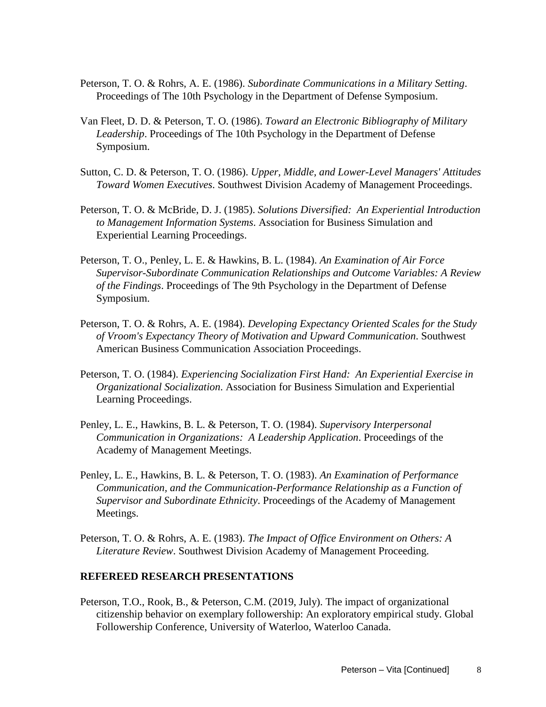- Peterson, T. O. & Rohrs, A. E. (1986). *Subordinate Communications in a Military Setting*. Proceedings of The 10th Psychology in the Department of Defense Symposium.
- Van Fleet, D. D. & Peterson, T. O. (1986). *Toward an Electronic Bibliography of Military Leadership*. Proceedings of The 10th Psychology in the Department of Defense Symposium.
- Sutton, C. D. & Peterson, T. O. (1986). *Upper, Middle, and Lower-Level Managers' Attitudes Toward Women Executives*. Southwest Division Academy of Management Proceedings.
- Peterson, T. O. & McBride, D. J. (1985). *Solutions Diversified: An Experiential Introduction to Management Information Systems*. Association for Business Simulation and Experiential Learning Proceedings.
- Peterson, T. O., Penley, L. E. & Hawkins, B. L. (1984). *An Examination of Air Force Supervisor-Subordinate Communication Relationships and Outcome Variables: A Review of the Findings*. Proceedings of The 9th Psychology in the Department of Defense Symposium.
- Peterson, T. O. & Rohrs, A. E. (1984). *Developing Expectancy Oriented Scales for the Study of Vroom's Expectancy Theory of Motivation and Upward Communication*. Southwest American Business Communication Association Proceedings.
- Peterson, T. O. (1984). *Experiencing Socialization First Hand: An Experiential Exercise in Organizational Socialization*. Association for Business Simulation and Experiential Learning Proceedings.
- Penley, L. E., Hawkins, B. L. & Peterson, T. O. (1984). *Supervisory Interpersonal Communication in Organizations: A Leadership Application*. Proceedings of the Academy of Management Meetings.
- Penley, L. E., Hawkins, B. L. & Peterson, T. O. (1983). *An Examination of Performance Communication, and the Communication-Performance Relationship as a Function of Supervisor and Subordinate Ethnicity*. Proceedings of the Academy of Management Meetings.
- Peterson, T. O. & Rohrs, A. E. (1983). *The Impact of Office Environment on Others: A Literature Review*. Southwest Division Academy of Management Proceeding.

#### **REFEREED RESEARCH PRESENTATIONS**

Peterson, T.O., Rook, B., & Peterson, C.M. (2019, July). The impact of organizational citizenship behavior on exemplary followership: An exploratory empirical study. Global Followership Conference, University of Waterloo, Waterloo Canada.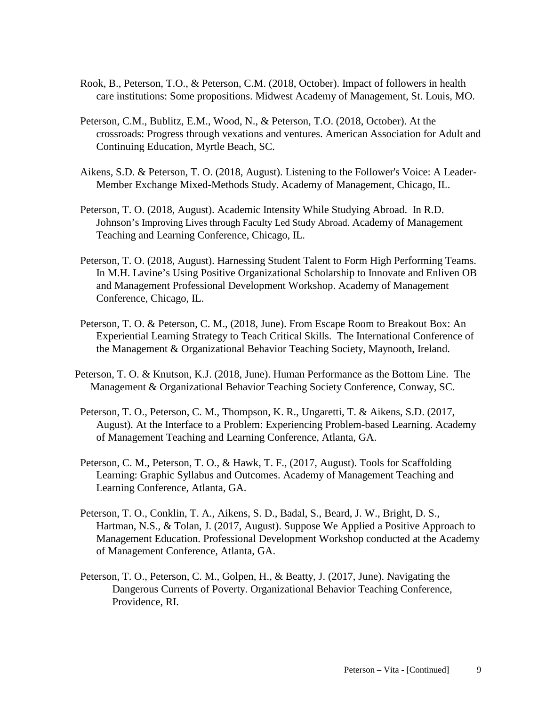- Rook, B., Peterson, T.O., & Peterson, C.M. (2018, October). Impact of followers in health care institutions: Some propositions. Midwest Academy of Management, St. Louis, MO.
- Peterson, C.M., Bublitz, E.M., Wood, N., & Peterson, T.O. (2018, October). At the crossroads: Progress through vexations and ventures. American Association for Adult and Continuing Education, Myrtle Beach, SC.
- Aikens, S.D. & Peterson, T. O. (2018, August). Listening to the Follower's Voice: A Leader-Member Exchange Mixed-Methods Study. Academy of Management, Chicago, IL.
- Peterson, T. O. (2018, August). Academic Intensity While Studying Abroad. In R.D. Johnson's Improving Lives through Faculty Led Study Abroad. Academy of Management Teaching and Learning Conference, Chicago, IL.
- Peterson, T. O. (2018, August). Harnessing Student Talent to Form High Performing Teams. In M.H. Lavine's Using Positive Organizational Scholarship to Innovate and Enliven OB and Management Professional Development Workshop. Academy of Management Conference, Chicago, IL.
- Peterson, T. O. & Peterson, C. M., (2018, June). From Escape Room to Breakout Box: An Experiential Learning Strategy to Teach Critical Skills. The International Conference of the Management & Organizational Behavior Teaching Society, Maynooth, Ireland.
- Peterson, T. O. & Knutson, K.J. (2018, June). Human Performance as the Bottom Line. The Management & Organizational Behavior Teaching Society Conference, Conway, SC.
- Peterson, T. O., Peterson, C. M., Thompson, K. R., Ungaretti, T. & Aikens, S.D. (2017, August). At the Interface to a Problem: Experiencing Problem-based Learning. Academy of Management Teaching and Learning Conference, Atlanta, GA.
- Peterson, C. M., Peterson, T. O., & Hawk, T. F., (2017, August). Tools for Scaffolding Learning: Graphic Syllabus and Outcomes. Academy of Management Teaching and Learning Conference, Atlanta, GA.
- Peterson, T. O., Conklin, T. A., Aikens, S. D., Badal, S., Beard, J. W., Bright, D. S., Hartman, N.S., & Tolan, J. (2017, August). Suppose We Applied a Positive Approach to Management Education. Professional Development Workshop conducted at the Academy of Management Conference, Atlanta, GA.
- Peterson, T. O., Peterson, C. M., Golpen, H., & Beatty, J. (2017, June). Navigating the Dangerous Currents of Poverty. Organizational Behavior Teaching Conference, Providence, RI.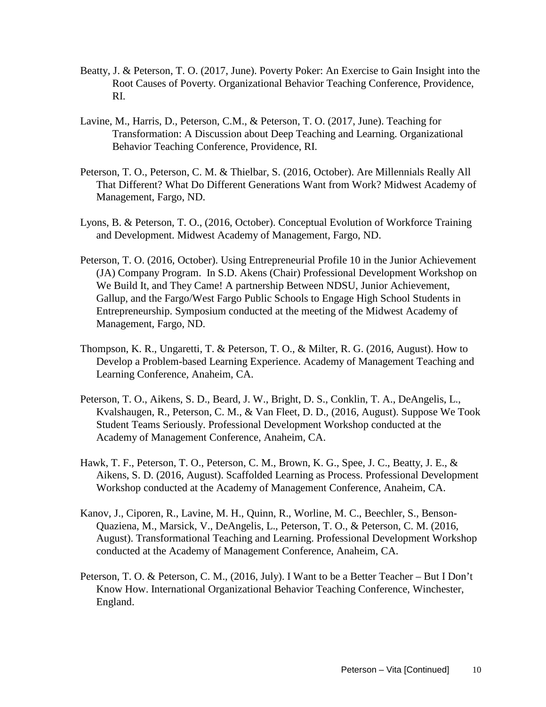- Beatty, J. & Peterson, T. O. (2017, June). Poverty Poker: An Exercise to Gain Insight into the Root Causes of Poverty. Organizational Behavior Teaching Conference, Providence, RI.
- Lavine, M., Harris, D., Peterson, C.M., & Peterson, T. O. (2017, June). Teaching for Transformation: A Discussion about Deep Teaching and Learning. Organizational Behavior Teaching Conference, Providence, RI.
- Peterson, T. O., Peterson, C. M. & Thielbar, S. (2016, October). Are Millennials Really All That Different? What Do Different Generations Want from Work? Midwest Academy of Management, Fargo, ND.
- Lyons, B. & Peterson, T. O., (2016, October). Conceptual Evolution of Workforce Training and Development. Midwest Academy of Management, Fargo, ND.
- Peterson, T. O. (2016, October). Using Entrepreneurial Profile 10 in the Junior Achievement (JA) Company Program. In S.D. Akens (Chair) Professional Development Workshop on We Build It, and They Came! A partnership Between NDSU, Junior Achievement, Gallup, and the Fargo/West Fargo Public Schools to Engage High School Students in Entrepreneurship. Symposium conducted at the meeting of the Midwest Academy of Management, Fargo, ND.
- Thompson, K. R., Ungaretti, T. & Peterson, T. O., & Milter, R. G. (2016, August). How to Develop a Problem-based Learning Experience. Academy of Management Teaching and Learning Conference, Anaheim, CA.
- Peterson, T. O., Aikens, S. D., Beard, J. W., Bright, D. S., Conklin, T. A., DeAngelis, L., Kvalshaugen, R., Peterson, C. M., & Van Fleet, D. D., (2016, August). Suppose We Took Student Teams Seriously. Professional Development Workshop conducted at the Academy of Management Conference, Anaheim, CA.
- Hawk, T. F., Peterson, T. O., Peterson, C. M., Brown, K. G., Spee, J. C., Beatty, J. E., & Aikens, S. D. (2016, August). Scaffolded Learning as Process. Professional Development Workshop conducted at the Academy of Management Conference, Anaheim, CA.
- Kanov, J., Ciporen, R., Lavine, M. H., Quinn, R., Worline, M. C., Beechler, S., Benson-Quaziena, M., Marsick, V., DeAngelis, L., Peterson, T. O., & Peterson, C. M. (2016, August). Transformational Teaching and Learning. Professional Development Workshop conducted at the Academy of Management Conference, Anaheim, CA.
- Peterson, T. O. & Peterson, C. M., (2016, July). I Want to be a Better Teacher But I Don't Know How. International Organizational Behavior Teaching Conference, Winchester, England.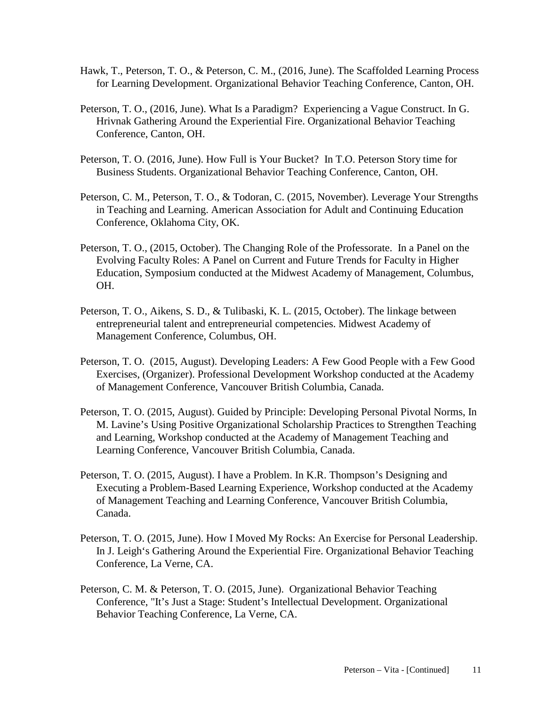- Hawk, T., Peterson, T. O., & Peterson, C. M., (2016, June). The Scaffolded Learning Process for Learning Development. Organizational Behavior Teaching Conference, Canton, OH.
- Peterson, T. O., (2016, June). What Is a Paradigm? Experiencing a Vague Construct. In G. Hrivnak Gathering Around the Experiential Fire. Organizational Behavior Teaching Conference, Canton, OH.
- Peterson, T. O. (2016, June). How Full is Your Bucket? In T.O. Peterson Story time for Business Students. Organizational Behavior Teaching Conference, Canton, OH.
- Peterson, C. M., Peterson, T. O., & Todoran, C. (2015, November). Leverage Your Strengths in Teaching and Learning. American Association for Adult and Continuing Education Conference, Oklahoma City, OK.
- Peterson, T. O., (2015, October). The Changing Role of the Professorate. In a Panel on the Evolving Faculty Roles: A Panel on Current and Future Trends for Faculty in Higher Education, Symposium conducted at the Midwest Academy of Management, Columbus, OH.
- Peterson, T. O., Aikens, S. D., & Tulibaski, K. L. (2015, October). The linkage between entrepreneurial talent and entrepreneurial competencies. Midwest Academy of Management Conference, Columbus, OH.
- Peterson, T. O. (2015, August). Developing Leaders: A Few Good People with a Few Good Exercises, (Organizer). Professional Development Workshop conducted at the Academy of Management Conference, Vancouver British Columbia, Canada.
- Peterson, T. O. (2015, August). Guided by Principle: Developing Personal Pivotal Norms, In M. Lavine's Using Positive Organizational Scholarship Practices to Strengthen Teaching and Learning, Workshop conducted at the Academy of Management Teaching and Learning Conference, Vancouver British Columbia, Canada.
- Peterson, T. O. (2015, August). I have a Problem. In K.R. Thompson's Designing and Executing a Problem-Based Learning Experience, Workshop conducted at the Academy of Management Teaching and Learning Conference, Vancouver British Columbia, Canada.
- Peterson, T. O. (2015, June). How I Moved My Rocks: An Exercise for Personal Leadership. In J. Leigh's Gathering Around the Experiential Fire. Organizational Behavior Teaching Conference, La Verne, CA.
- Peterson, C. M. & Peterson, T. O. (2015, June). Organizational Behavior Teaching Conference, "It's Just a Stage: Student's Intellectual Development. Organizational Behavior Teaching Conference, La Verne, CA.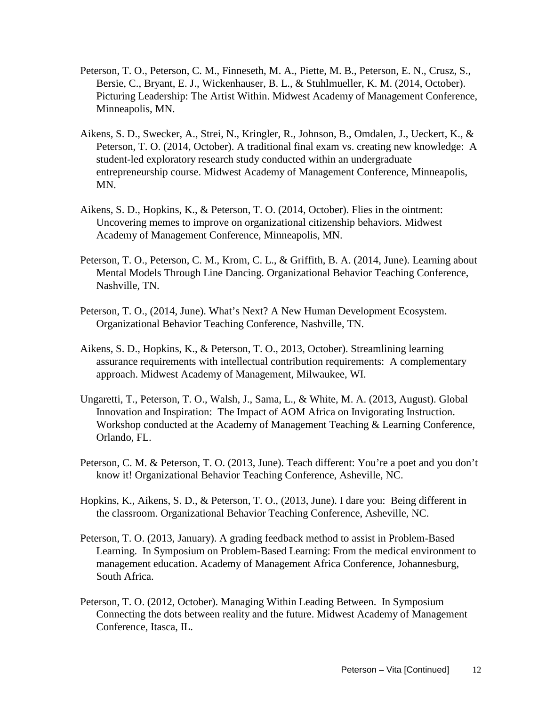- Peterson, T. O., Peterson, C. M., Finneseth, M. A., Piette, M. B., Peterson, E. N., Crusz, S., Bersie, C., Bryant, E. J., Wickenhauser, B. L., & Stuhlmueller, K. M. (2014, October). Picturing Leadership: The Artist Within. Midwest Academy of Management Conference, Minneapolis, MN.
- Aikens, S. D., Swecker, A., Strei, N., Kringler, R., Johnson, B., Omdalen, J., Ueckert, K., & Peterson, T. O. (2014, October). A traditional final exam vs. creating new knowledge: A student-led exploratory research study conducted within an undergraduate entrepreneurship course. Midwest Academy of Management Conference, Minneapolis, MN.
- Aikens, S. D., Hopkins, K., & Peterson, T. O. (2014, October). Flies in the ointment: Uncovering memes to improve on organizational citizenship behaviors. Midwest Academy of Management Conference, Minneapolis, MN.
- Peterson, T. O., Peterson, C. M., Krom, C. L., & Griffith, B. A. (2014, June). Learning about Mental Models Through Line Dancing. Organizational Behavior Teaching Conference, Nashville, TN.
- Peterson, T. O., (2014, June). What's Next? A New Human Development Ecosystem. Organizational Behavior Teaching Conference, Nashville, TN.
- Aikens, S. D., Hopkins, K., & Peterson, T. O., 2013, October). Streamlining learning assurance requirements with intellectual contribution requirements: A complementary approach. Midwest Academy of Management, Milwaukee, WI.
- Ungaretti, T., Peterson, T. O., Walsh, J., Sama, L., & White, M. A. (2013, August). Global Innovation and Inspiration: The Impact of AOM Africa on Invigorating Instruction. Workshop conducted at the Academy of Management Teaching & Learning Conference, Orlando, FL.
- Peterson, C. M. & Peterson, T. O. (2013, June). Teach different: You're a poet and you don't know it! Organizational Behavior Teaching Conference, Asheville, NC.
- Hopkins, K., Aikens, S. D., & Peterson, T. O., (2013, June). I dare you: Being different in the classroom. Organizational Behavior Teaching Conference, Asheville, NC.
- Peterson, T. O. (2013, January). A grading feedback method to assist in Problem-Based Learning. In Symposium on Problem-Based Learning: From the medical environment to management education. Academy of Management Africa Conference, Johannesburg, South Africa.
- Peterson, T. O. (2012, October). Managing Within Leading Between. In Symposium Connecting the dots between reality and the future. Midwest Academy of Management Conference, Itasca, IL.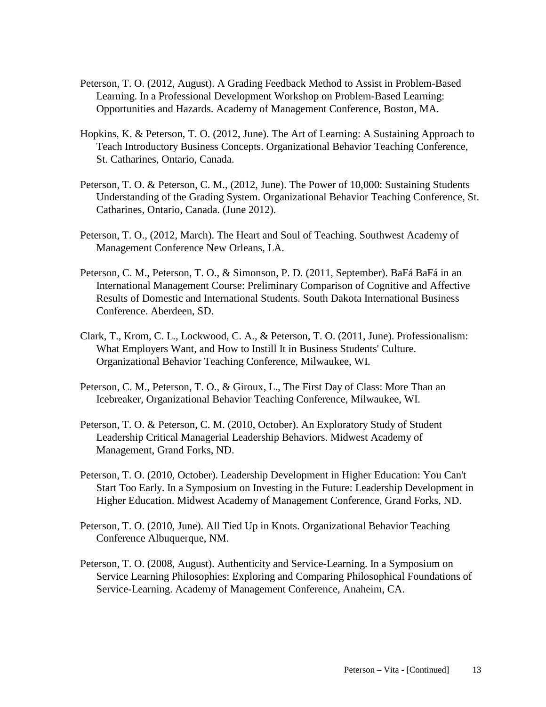- Peterson, T. O. (2012, August). A Grading Feedback Method to Assist in Problem-Based Learning. In a Professional Development Workshop on Problem-Based Learning: Opportunities and Hazards. Academy of Management Conference, Boston, MA.
- Hopkins, K. & Peterson, T. O. (2012, June). The Art of Learning: A Sustaining Approach to Teach Introductory Business Concepts. Organizational Behavior Teaching Conference, St. Catharines, Ontario, Canada.
- Peterson, T. O. & Peterson, C. M., (2012, June). The Power of 10,000: Sustaining Students Understanding of the Grading System. Organizational Behavior Teaching Conference, St. Catharines, Ontario, Canada. (June 2012).
- Peterson, T. O., (2012, March). The Heart and Soul of Teaching. Southwest Academy of Management Conference New Orleans, LA.
- Peterson, C. M., Peterson, T. O., & Simonson, P. D. (2011, September). BaFá BaFá in an International Management Course: Preliminary Comparison of Cognitive and Affective Results of Domestic and International Students. South Dakota International Business Conference. Aberdeen, SD.
- Clark, T., Krom, C. L., Lockwood, C. A., & Peterson, T. O. (2011, June). Professionalism: What Employers Want, and How to Instill It in Business Students' Culture. Organizational Behavior Teaching Conference, Milwaukee, WI.
- Peterson, C. M., Peterson, T. O., & Giroux, L., The First Day of Class: More Than an Icebreaker, Organizational Behavior Teaching Conference, Milwaukee, WI.
- Peterson, T. O. & Peterson, C. M. (2010, October). An Exploratory Study of Student Leadership Critical Managerial Leadership Behaviors. Midwest Academy of Management, Grand Forks, ND.
- Peterson, T. O. (2010, October). Leadership Development in Higher Education: You Can't Start Too Early. In a Symposium on Investing in the Future: Leadership Development in Higher Education. Midwest Academy of Management Conference, Grand Forks, ND.
- Peterson, T. O. (2010, June). All Tied Up in Knots. Organizational Behavior Teaching Conference Albuquerque, NM.
- Peterson, T. O. (2008, August). Authenticity and Service-Learning. In a Symposium on Service Learning Philosophies: Exploring and Comparing Philosophical Foundations of Service-Learning. Academy of Management Conference, Anaheim, CA.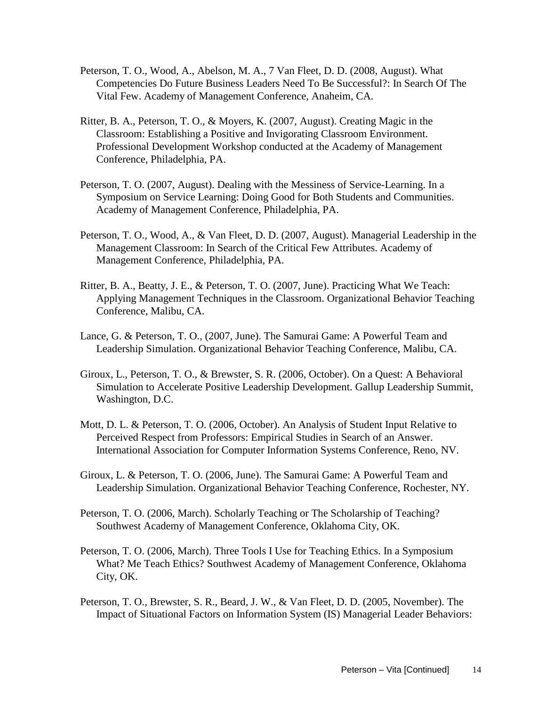- Peterson, T. O., Wood, A., Abelson, M. A., 7 Van Fleet, D. D. (2008, August). What Competencies Do Future Business Leaders Need To Be Successful?: In Search Of The Vital Few. Academy of Management Conference, Anaheim, CA.
- Ritter, B. A., Peterson, T. O., & Moyers, K. (2007, August). Creating Magic in the Classroom: Establishing a Positive and Invigorating Classroom Environment. Professional Development Workshop conducted at the Academy of Management Conference, Philadelphia, PA.
- Peterson, T. O. (2007, August). Dealing with the Messiness of Service-Learning. In a Symposium on Service Learning: Doing Good for Both Students and Communities. Academy of Management Conference, Philadelphia, PA.
- Peterson, T. O., Wood, A., & Van Fleet, D. D. (2007, August). Managerial Leadership in the Management Classroom: In Search of the Critical Few Attributes. Academy of Management Conference, Philadelphia, PA.
- Ritter, B. A., Beatty, J. E., & Peterson, T. O. (2007, June). Practicing What We Teach: Applying Management Techniques in the Classroom. Organizational Behavior Teaching Conference, Malibu, CA.
- Lance, G. & Peterson, T. O., (2007, June). The Samurai Game: A Powerful Team and Leadership Simulation. Organizational Behavior Teaching Conference, Malibu, CA.
- Giroux, L., Peterson, T. O., & Brewster, S. R. (2006, October). On a Quest: A Behavioral Simulation to Accelerate Positive Leadership Development. Gallup Leadership Summit, Washington, D.C.
- Mott, D. L. & Peterson, T. O. (2006, October). An Analysis of Student Input Relative to Perceived Respect from Professors: Empirical Studies in Search of an Answer. International Association for Computer Information Systems Conference, Reno, NV.
- Giroux, L. & Peterson, T. O. (2006, June). The Samurai Game: A Powerful Team and Leadership Simulation. Organizational Behavior Teaching Conference, Rochester, NY.
- Peterson, T. O. (2006, March). Scholarly Teaching or The Scholarship of Teaching? Southwest Academy of Management Conference, Oklahoma City, OK.
- Peterson, T. O. (2006, March). Three Tools I Use for Teaching Ethics. In a Symposium What? Me Teach Ethics? Southwest Academy of Management Conference, Oklahoma City, OK.
- Peterson, T. O., Brewster, S. R., Beard, J. W., & Van Fleet, D. D. (2005, November). The Impact of Situational Factors on Information System (IS) Managerial Leader Behaviors: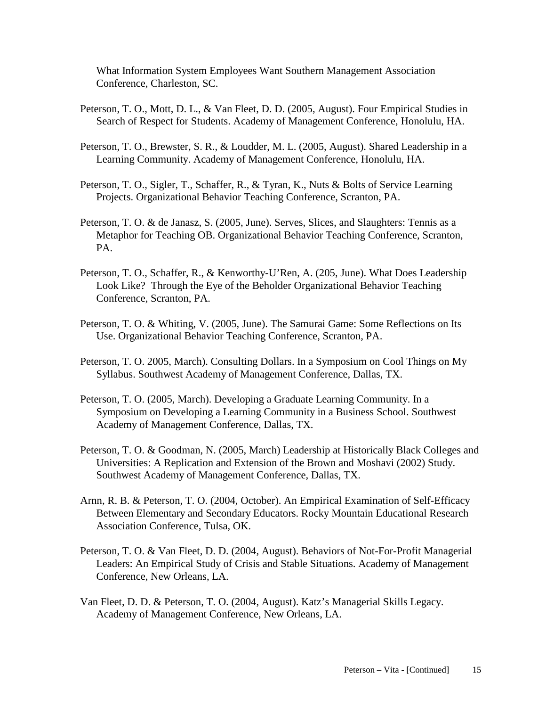What Information System Employees Want Southern Management Association Conference, Charleston, SC.

- Peterson, T. O., Mott, D. L., & Van Fleet, D. D. (2005, August). Four Empirical Studies in Search of Respect for Students. Academy of Management Conference, Honolulu, HA.
- Peterson, T. O., Brewster, S. R., & Loudder, M. L. (2005, August). Shared Leadership in a Learning Community. Academy of Management Conference, Honolulu, HA.
- Peterson, T. O., Sigler, T., Schaffer, R., & Tyran, K., Nuts & Bolts of Service Learning Projects. Organizational Behavior Teaching Conference, Scranton, PA.
- Peterson, T. O. & de Janasz, S. (2005, June). Serves, Slices, and Slaughters: Tennis as a Metaphor for Teaching OB. Organizational Behavior Teaching Conference, Scranton, PA.
- Peterson, T. O., Schaffer, R., & Kenworthy-U'Ren, A. (205, June). What Does Leadership Look Like? Through the Eye of the Beholder Organizational Behavior Teaching Conference, Scranton, PA.
- Peterson, T. O. & Whiting, V. (2005, June). The Samurai Game: Some Reflections on Its Use. Organizational Behavior Teaching Conference, Scranton, PA.
- Peterson, T. O. 2005, March). Consulting Dollars. In a Symposium on Cool Things on My Syllabus. Southwest Academy of Management Conference, Dallas, TX.
- Peterson, T. O. (2005, March). Developing a Graduate Learning Community. In a Symposium on Developing a Learning Community in a Business School. Southwest Academy of Management Conference, Dallas, TX.
- Peterson, T. O. & Goodman, N. (2005, March) Leadership at Historically Black Colleges and Universities: A Replication and Extension of the Brown and Moshavi (2002) Study. Southwest Academy of Management Conference, Dallas, TX.
- Arnn, R. B. & Peterson, T. O. (2004, October). An Empirical Examination of Self-Efficacy Between Elementary and Secondary Educators. Rocky Mountain Educational Research Association Conference, Tulsa, OK.
- Peterson, T. O. & Van Fleet, D. D. (2004, August). Behaviors of Not-For-Profit Managerial Leaders: An Empirical Study of Crisis and Stable Situations. Academy of Management Conference, New Orleans, LA.
- Van Fleet, D. D. & Peterson, T. O. (2004, August). Katz's Managerial Skills Legacy. Academy of Management Conference, New Orleans, LA.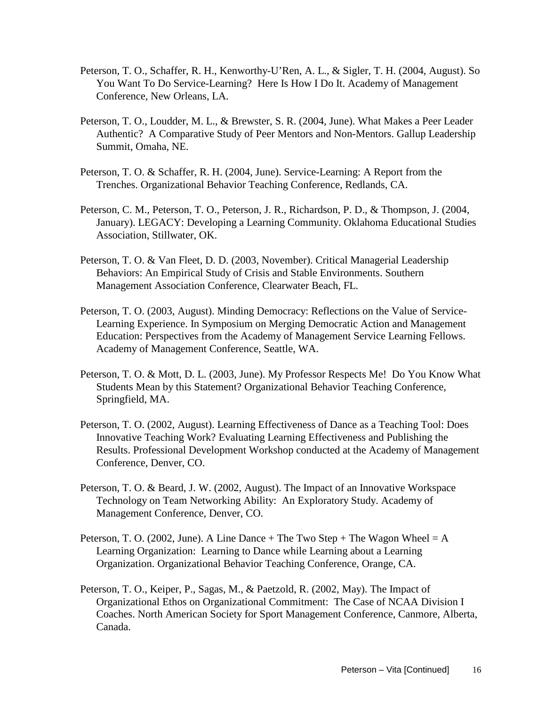- Peterson, T. O., Schaffer, R. H., Kenworthy-U'Ren, A. L., & Sigler, T. H. (2004, August). So You Want To Do Service-Learning? Here Is How I Do It. Academy of Management Conference, New Orleans, LA.
- Peterson, T. O., Loudder, M. L., & Brewster, S. R. (2004, June). What Makes a Peer Leader Authentic? A Comparative Study of Peer Mentors and Non-Mentors. Gallup Leadership Summit, Omaha, NE.
- Peterson, T. O. & Schaffer, R. H. (2004, June). Service-Learning: A Report from the Trenches. Organizational Behavior Teaching Conference, Redlands, CA.
- Peterson, C. M., Peterson, T. O., Peterson, J. R., Richardson, P. D., & Thompson, J. (2004, January). LEGACY: Developing a Learning Community. Oklahoma Educational Studies Association, Stillwater, OK.
- Peterson, T. O. & Van Fleet, D. D. (2003, November). Critical Managerial Leadership Behaviors: An Empirical Study of Crisis and Stable Environments. Southern Management Association Conference, Clearwater Beach, FL.
- Peterson, T. O. (2003, August). Minding Democracy: Reflections on the Value of Service-Learning Experience. In Symposium on Merging Democratic Action and Management Education: Perspectives from the Academy of Management Service Learning Fellows. Academy of Management Conference, Seattle, WA.
- Peterson, T. O. & Mott, D. L. (2003, June). My Professor Respects Me! Do You Know What Students Mean by this Statement? Organizational Behavior Teaching Conference, Springfield, MA.
- Peterson, T. O. (2002, August). Learning Effectiveness of Dance as a Teaching Tool: Does Innovative Teaching Work? Evaluating Learning Effectiveness and Publishing the Results. Professional Development Workshop conducted at the Academy of Management Conference, Denver, CO.
- Peterson, T. O. & Beard, J. W. (2002, August). The Impact of an Innovative Workspace Technology on Team Networking Ability: An Exploratory Study. Academy of Management Conference, Denver, CO.
- Peterson, T. O. (2002, June). A Line Dance  $+$  The Two Step  $+$  The Wagon Wheel  $= A$ Learning Organization: Learning to Dance while Learning about a Learning Organization. Organizational Behavior Teaching Conference, Orange, CA.
- Peterson, T. O., Keiper, P., Sagas, M., & Paetzold, R. (2002, May). The Impact of Organizational Ethos on Organizational Commitment: The Case of NCAA Division I Coaches. North American Society for Sport Management Conference, Canmore, Alberta, Canada.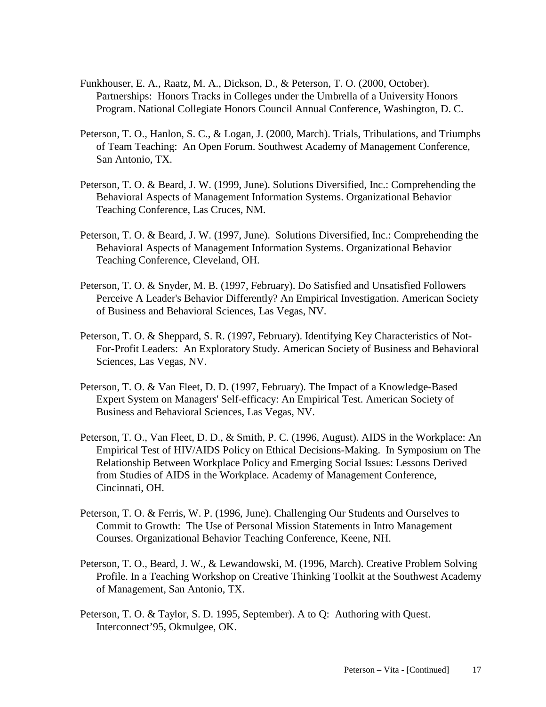- Funkhouser, E. A., Raatz, M. A., Dickson, D., & Peterson, T. O. (2000, October). Partnerships: Honors Tracks in Colleges under the Umbrella of a University Honors Program. National Collegiate Honors Council Annual Conference, Washington, D. C.
- Peterson, T. O., Hanlon, S. C., & Logan, J. (2000, March). Trials, Tribulations, and Triumphs of Team Teaching: An Open Forum. Southwest Academy of Management Conference, San Antonio, TX.
- Peterson, T. O. & Beard, J. W. (1999, June). Solutions Diversified, Inc.: Comprehending the Behavioral Aspects of Management Information Systems. Organizational Behavior Teaching Conference, Las Cruces, NM.
- Peterson, T. O. & Beard, J. W. (1997, June). Solutions Diversified, Inc.: Comprehending the Behavioral Aspects of Management Information Systems. Organizational Behavior Teaching Conference, Cleveland, OH.
- Peterson, T. O. & Snyder, M. B. (1997, February). Do Satisfied and Unsatisfied Followers Perceive A Leader's Behavior Differently? An Empirical Investigation. American Society of Business and Behavioral Sciences, Las Vegas, NV.
- Peterson, T. O. & Sheppard, S. R. (1997, February). Identifying Key Characteristics of Not-For-Profit Leaders: An Exploratory Study. American Society of Business and Behavioral Sciences, Las Vegas, NV.
- Peterson, T. O. & Van Fleet, D. D. (1997, February). The Impact of a Knowledge-Based Expert System on Managers' Self-efficacy: An Empirical Test. American Society of Business and Behavioral Sciences, Las Vegas, NV.
- Peterson, T. O., Van Fleet, D. D., & Smith, P. C. (1996, August). AIDS in the Workplace: An Empirical Test of HIV/AIDS Policy on Ethical Decisions-Making. In Symposium on The Relationship Between Workplace Policy and Emerging Social Issues: Lessons Derived from Studies of AIDS in the Workplace. Academy of Management Conference, Cincinnati, OH.
- Peterson, T. O. & Ferris, W. P. (1996, June). Challenging Our Students and Ourselves to Commit to Growth: The Use of Personal Mission Statements in Intro Management Courses. Organizational Behavior Teaching Conference, Keene, NH.
- Peterson, T. O., Beard, J. W., & Lewandowski, M. (1996, March). Creative Problem Solving Profile. In a Teaching Workshop on Creative Thinking Toolkit at the Southwest Academy of Management, San Antonio, TX.
- Peterson, T. O. & Taylor, S. D. 1995, September). A to Q: Authoring with Quest. Interconnect'95, Okmulgee, OK.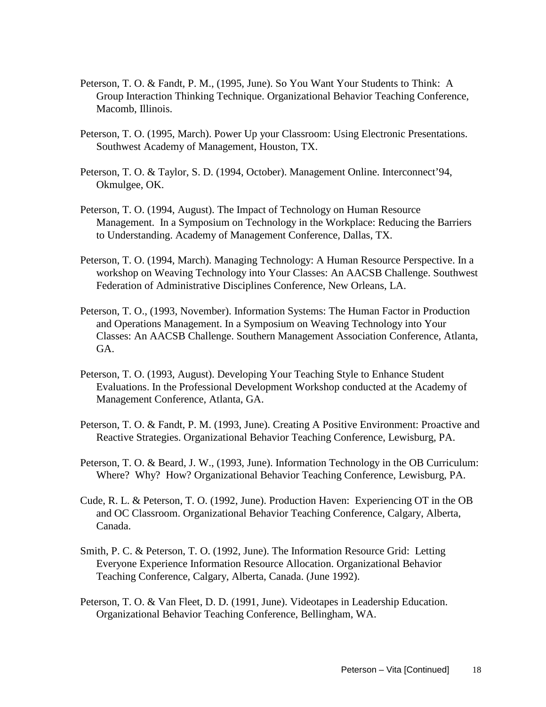- Peterson, T. O. & Fandt, P. M., (1995, June). So You Want Your Students to Think: A Group Interaction Thinking Technique. Organizational Behavior Teaching Conference, Macomb, Illinois.
- Peterson, T. O. (1995, March). Power Up your Classroom: Using Electronic Presentations. Southwest Academy of Management, Houston, TX.
- Peterson, T. O. & Taylor, S. D. (1994, October). Management Online. Interconnect'94, Okmulgee, OK.
- Peterson, T. O. (1994, August). The Impact of Technology on Human Resource Management. In a Symposium on Technology in the Workplace: Reducing the Barriers to Understanding. Academy of Management Conference, Dallas, TX.
- Peterson, T. O. (1994, March). Managing Technology: A Human Resource Perspective. In a workshop on Weaving Technology into Your Classes: An AACSB Challenge. Southwest Federation of Administrative Disciplines Conference, New Orleans, LA.
- Peterson, T. O., (1993, November). Information Systems: The Human Factor in Production and Operations Management. In a Symposium on Weaving Technology into Your Classes: An AACSB Challenge. Southern Management Association Conference, Atlanta, GA.
- Peterson, T. O. (1993, August). Developing Your Teaching Style to Enhance Student Evaluations. In the Professional Development Workshop conducted at the Academy of Management Conference, Atlanta, GA.
- Peterson, T. O. & Fandt, P. M. (1993, June). Creating A Positive Environment: Proactive and Reactive Strategies. Organizational Behavior Teaching Conference, Lewisburg, PA.
- Peterson, T. O. & Beard, J. W., (1993, June). Information Technology in the OB Curriculum: Where? Why? How? Organizational Behavior Teaching Conference, Lewisburg, PA.
- Cude, R. L. & Peterson, T. O. (1992, June). Production Haven: Experiencing OT in the OB and OC Classroom. Organizational Behavior Teaching Conference, Calgary, Alberta, Canada.
- Smith, P. C. & Peterson, T. O. (1992, June). The Information Resource Grid: Letting Everyone Experience Information Resource Allocation. Organizational Behavior Teaching Conference, Calgary, Alberta, Canada. (June 1992).
- Peterson, T. O. & Van Fleet, D. D. (1991, June). Videotapes in Leadership Education. Organizational Behavior Teaching Conference, Bellingham, WA.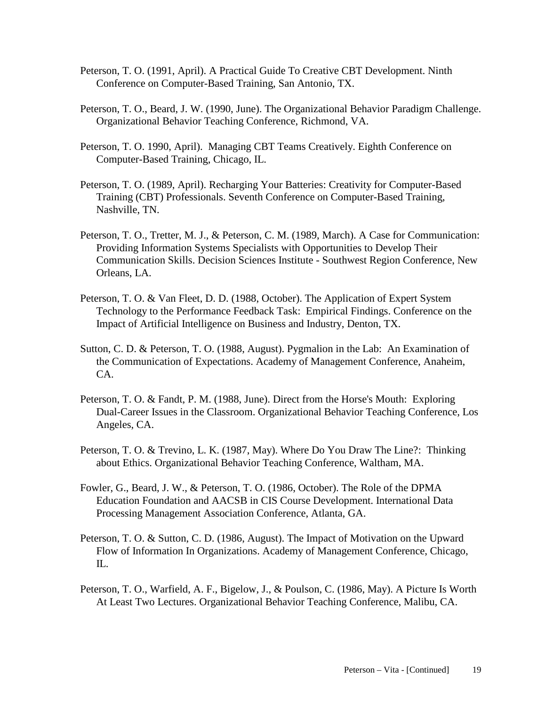- Peterson, T. O. (1991, April). A Practical Guide To Creative CBT Development. Ninth Conference on Computer-Based Training, San Antonio, TX.
- Peterson, T. O., Beard, J. W. (1990, June). The Organizational Behavior Paradigm Challenge. Organizational Behavior Teaching Conference, Richmond, VA.
- Peterson, T. O. 1990, April). Managing CBT Teams Creatively. Eighth Conference on Computer-Based Training, Chicago, IL.
- Peterson, T. O. (1989, April). Recharging Your Batteries: Creativity for Computer-Based Training (CBT) Professionals. Seventh Conference on Computer-Based Training, Nashville, TN.
- Peterson, T. O., Tretter, M. J., & Peterson, C. M. (1989, March). A Case for Communication: Providing Information Systems Specialists with Opportunities to Develop Their Communication Skills. Decision Sciences Institute - Southwest Region Conference, New Orleans, LA.
- Peterson, T. O. & Van Fleet, D. D. (1988, October). The Application of Expert System Technology to the Performance Feedback Task: Empirical Findings. Conference on the Impact of Artificial Intelligence on Business and Industry, Denton, TX.
- Sutton, C. D. & Peterson, T. O. (1988, August). Pygmalion in the Lab: An Examination of the Communication of Expectations. Academy of Management Conference, Anaheim, CA.
- Peterson, T. O. & Fandt, P. M. (1988, June). Direct from the Horse's Mouth: Exploring Dual-Career Issues in the Classroom. Organizational Behavior Teaching Conference, Los Angeles, CA.
- Peterson, T. O. & Trevino, L. K. (1987, May). Where Do You Draw The Line?: Thinking about Ethics. Organizational Behavior Teaching Conference, Waltham, MA.
- Fowler, G., Beard, J. W., & Peterson, T. O. (1986, October). The Role of the DPMA Education Foundation and AACSB in CIS Course Development. International Data Processing Management Association Conference, Atlanta, GA.
- Peterson, T. O. & Sutton, C. D. (1986, August). The Impact of Motivation on the Upward Flow of Information In Organizations. Academy of Management Conference, Chicago, IL.
- Peterson, T. O., Warfield, A. F., Bigelow, J., & Poulson, C. (1986, May). A Picture Is Worth At Least Two Lectures. Organizational Behavior Teaching Conference, Malibu, CA.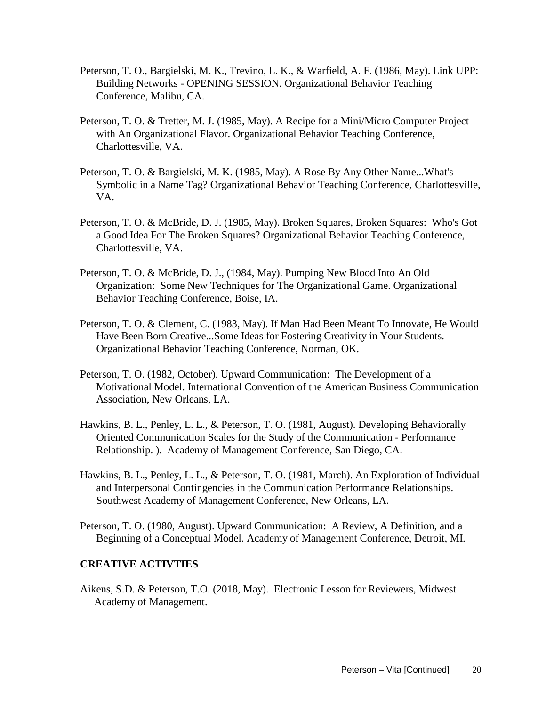- Peterson, T. O., Bargielski, M. K., Trevino, L. K., & Warfield, A. F. (1986, May). Link UPP: Building Networks - OPENING SESSION. Organizational Behavior Teaching Conference, Malibu, CA.
- Peterson, T. O. & Tretter, M. J. (1985, May). A Recipe for a Mini/Micro Computer Project with An Organizational Flavor. Organizational Behavior Teaching Conference, Charlottesville, VA.
- Peterson, T. O. & Bargielski, M. K. (1985, May). A Rose By Any Other Name...What's Symbolic in a Name Tag? Organizational Behavior Teaching Conference, Charlottesville, VA.
- Peterson, T. O. & McBride, D. J. (1985, May). Broken Squares, Broken Squares: Who's Got a Good Idea For The Broken Squares? Organizational Behavior Teaching Conference, Charlottesville, VA.
- Peterson, T. O. & McBride, D. J., (1984, May). Pumping New Blood Into An Old Organization: Some New Techniques for The Organizational Game. Organizational Behavior Teaching Conference, Boise, IA.
- Peterson, T. O. & Clement, C. (1983, May). If Man Had Been Meant To Innovate, He Would Have Been Born Creative...Some Ideas for Fostering Creativity in Your Students. Organizational Behavior Teaching Conference, Norman, OK.
- Peterson, T. O. (1982, October). Upward Communication: The Development of a Motivational Model. International Convention of the American Business Communication Association, New Orleans, LA.
- Hawkins, B. L., Penley, L. L., & Peterson, T. O. (1981, August). Developing Behaviorally Oriented Communication Scales for the Study of the Communication - Performance Relationship. ). Academy of Management Conference, San Diego, CA.
- Hawkins, B. L., Penley, L. L., & Peterson, T. O. (1981, March). An Exploration of Individual and Interpersonal Contingencies in the Communication Performance Relationships. Southwest Academy of Management Conference, New Orleans, LA.
- Peterson, T. O. (1980, August). Upward Communication: A Review, A Definition, and a Beginning of a Conceptual Model. Academy of Management Conference, Detroit, MI.

# **CREATIVE ACTIVTIES**

Aikens, S.D. & Peterson, T.O. (2018, May). Electronic Lesson for Reviewers, Midwest Academy of Management.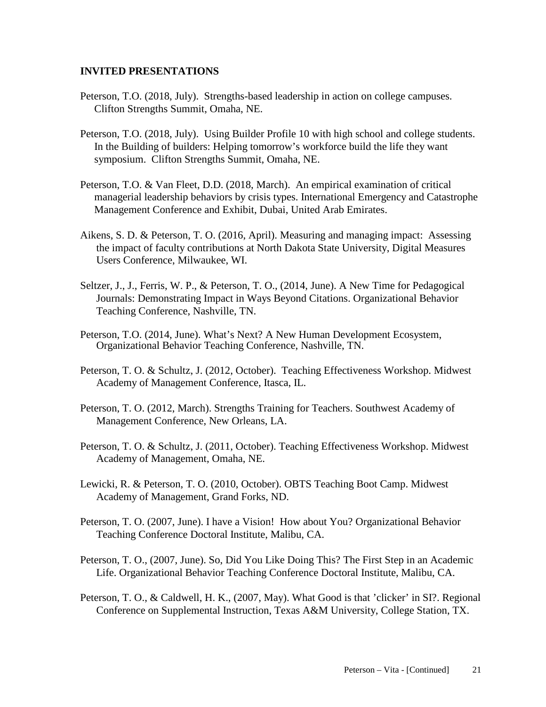#### **INVITED PRESENTATIONS**

- Peterson, T.O. (2018, July). Strengths-based leadership in action on college campuses. Clifton Strengths Summit, Omaha, NE.
- Peterson, T.O. (2018, July). Using Builder Profile 10 with high school and college students. In the Building of builders: Helping tomorrow's workforce build the life they want symposium. Clifton Strengths Summit, Omaha, NE.
- Peterson, T.O. & Van Fleet, D.D. (2018, March). An empirical examination of critical managerial leadership behaviors by crisis types. International Emergency and Catastrophe Management Conference and Exhibit, Dubai, United Arab Emirates.
- Aikens, S. D. & Peterson, T. O. (2016, April). Measuring and managing impact: Assessing the impact of faculty contributions at North Dakota State University, Digital Measures Users Conference, Milwaukee, WI.
- Seltzer, J., J., Ferris, W. P., & Peterson, T. O., (2014, June). A New Time for Pedagogical Journals: Demonstrating Impact in Ways Beyond Citations. Organizational Behavior Teaching Conference, Nashville, TN.
- Peterson, T.O. (2014, June). What's Next? A New Human Development Ecosystem, Organizational Behavior Teaching Conference, Nashville, TN.
- Peterson, T. O. & Schultz, J. (2012, October). Teaching Effectiveness Workshop. Midwest Academy of Management Conference, Itasca, IL.
- Peterson, T. O. (2012, March). Strengths Training for Teachers. Southwest Academy of Management Conference, New Orleans, LA.
- Peterson, T. O. & Schultz, J. (2011, October). Teaching Effectiveness Workshop. Midwest Academy of Management, Omaha, NE.
- Lewicki, R. & Peterson, T. O. (2010, October). OBTS Teaching Boot Camp. Midwest Academy of Management, Grand Forks, ND.
- Peterson, T. O. (2007, June). I have a Vision! How about You? Organizational Behavior Teaching Conference Doctoral Institute, Malibu, CA.
- Peterson, T. O., (2007, June). So, Did You Like Doing This? The First Step in an Academic Life. Organizational Behavior Teaching Conference Doctoral Institute, Malibu, CA.
- Peterson, T. O., & Caldwell, H. K., (2007, May). What Good is that 'clicker' in SI?. Regional Conference on Supplemental Instruction, Texas A&M University, College Station, TX.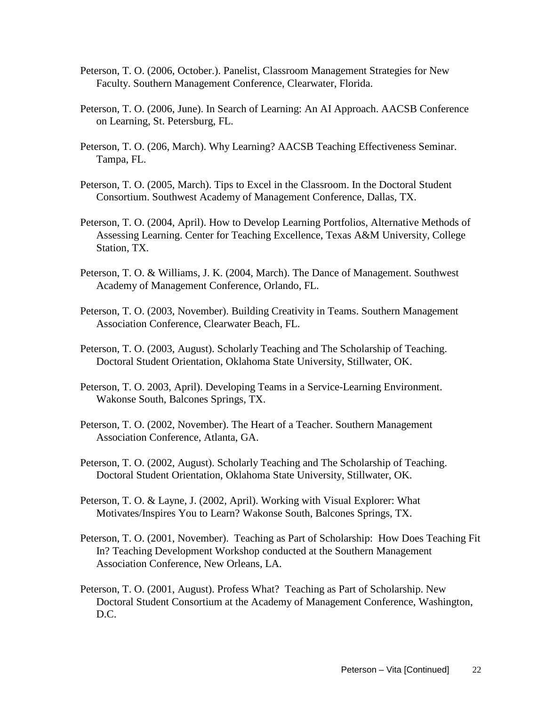- Peterson, T. O. (2006, October.). Panelist, Classroom Management Strategies for New Faculty. Southern Management Conference, Clearwater, Florida.
- Peterson, T. O. (2006, June). In Search of Learning: An AI Approach. AACSB Conference on Learning, St. Petersburg, FL.
- Peterson, T. O. (206, March). Why Learning? AACSB Teaching Effectiveness Seminar. Tampa, FL.
- Peterson, T. O. (2005, March). Tips to Excel in the Classroom. In the Doctoral Student Consortium. Southwest Academy of Management Conference, Dallas, TX.
- Peterson, T. O. (2004, April). How to Develop Learning Portfolios, Alternative Methods of Assessing Learning. Center for Teaching Excellence, Texas A&M University, College Station, TX.
- Peterson, T. O. & Williams, J. K. (2004, March). The Dance of Management. Southwest Academy of Management Conference, Orlando, FL.
- Peterson, T. O. (2003, November). Building Creativity in Teams. Southern Management Association Conference, Clearwater Beach, FL.
- Peterson, T. O. (2003, August). Scholarly Teaching and The Scholarship of Teaching. Doctoral Student Orientation, Oklahoma State University, Stillwater, OK.
- Peterson, T. O. 2003, April). Developing Teams in a Service-Learning Environment. Wakonse South, Balcones Springs, TX.
- Peterson, T. O. (2002, November). The Heart of a Teacher. Southern Management Association Conference, Atlanta, GA.
- Peterson, T. O. (2002, August). Scholarly Teaching and The Scholarship of Teaching. Doctoral Student Orientation, Oklahoma State University, Stillwater, OK.
- Peterson, T. O. & Layne, J. (2002, April). Working with Visual Explorer: What Motivates/Inspires You to Learn? Wakonse South, Balcones Springs, TX.
- Peterson, T. O. (2001, November). Teaching as Part of Scholarship: How Does Teaching Fit In? Teaching Development Workshop conducted at the Southern Management Association Conference, New Orleans, LA.
- Peterson, T. O. (2001, August). Profess What? Teaching as Part of Scholarship. New Doctoral Student Consortium at the Academy of Management Conference, Washington, D.C.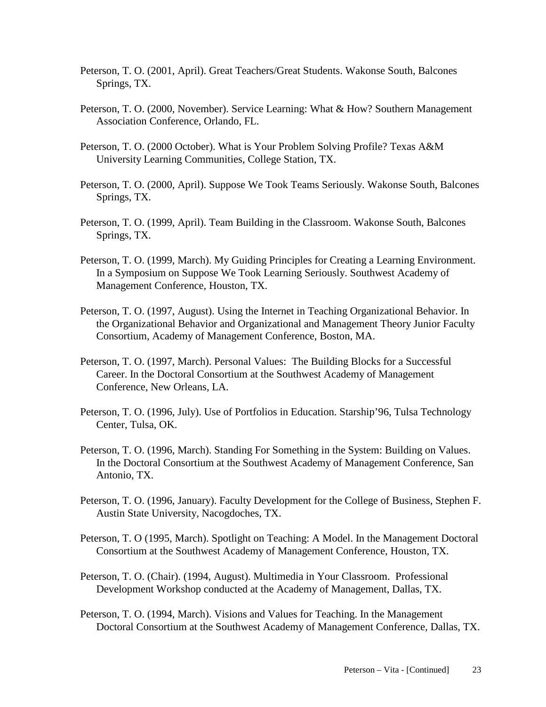- Peterson, T. O. (2001, April). Great Teachers/Great Students. Wakonse South, Balcones Springs, TX.
- Peterson, T. O. (2000, November). Service Learning: What & How? Southern Management Association Conference, Orlando, FL.
- Peterson, T. O. (2000 October). What is Your Problem Solving Profile? Texas A&M University Learning Communities, College Station, TX.
- Peterson, T. O. (2000, April). Suppose We Took Teams Seriously. Wakonse South, Balcones Springs, TX.
- Peterson, T. O. (1999, April). Team Building in the Classroom. Wakonse South, Balcones Springs, TX.
- Peterson, T. O. (1999, March). My Guiding Principles for Creating a Learning Environment. In a Symposium on Suppose We Took Learning Seriously. Southwest Academy of Management Conference, Houston, TX.
- Peterson, T. O. (1997, August). Using the Internet in Teaching Organizational Behavior. In the Organizational Behavior and Organizational and Management Theory Junior Faculty Consortium, Academy of Management Conference, Boston, MA.
- Peterson, T. O. (1997, March). Personal Values: The Building Blocks for a Successful Career. In the Doctoral Consortium at the Southwest Academy of Management Conference, New Orleans, LA.
- Peterson, T. O. (1996, July). Use of Portfolios in Education. Starship'96, Tulsa Technology Center, Tulsa, OK.
- Peterson, T. O. (1996, March). Standing For Something in the System: Building on Values. In the Doctoral Consortium at the Southwest Academy of Management Conference, San Antonio, TX.
- Peterson, T. O. (1996, January). Faculty Development for the College of Business, Stephen F. Austin State University, Nacogdoches, TX.
- Peterson, T. O (1995, March). Spotlight on Teaching: A Model. In the Management Doctoral Consortium at the Southwest Academy of Management Conference, Houston, TX.
- Peterson, T. O. (Chair). (1994, August). Multimedia in Your Classroom. Professional Development Workshop conducted at the Academy of Management, Dallas, TX.
- Peterson, T. O. (1994, March). Visions and Values for Teaching. In the Management Doctoral Consortium at the Southwest Academy of Management Conference, Dallas, TX.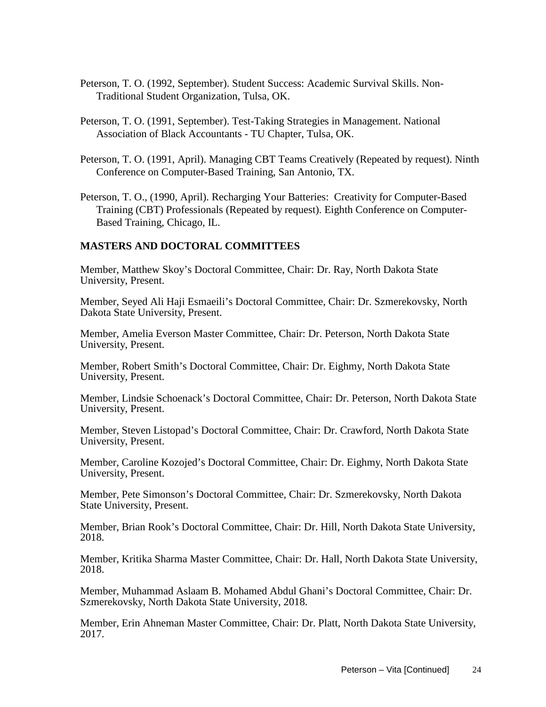- Peterson, T. O. (1992, September). Student Success: Academic Survival Skills. Non-Traditional Student Organization, Tulsa, OK.
- Peterson, T. O. (1991, September). Test-Taking Strategies in Management. National Association of Black Accountants - TU Chapter, Tulsa, OK.
- Peterson, T. O. (1991, April). Managing CBT Teams Creatively (Repeated by request). Ninth Conference on Computer-Based Training, San Antonio, TX.
- Peterson, T. O., (1990, April). Recharging Your Batteries: Creativity for Computer-Based Training (CBT) Professionals (Repeated by request). Eighth Conference on Computer-Based Training, Chicago, IL.

#### **MASTERS AND DOCTORAL COMMITTEES**

Member, Matthew Skoy's Doctoral Committee, Chair: Dr. Ray, North Dakota State University, Present.

Member, Seyed Ali Haji Esmaeili's Doctoral Committee, Chair: Dr. Szmerekovsky, North Dakota State University, Present.

Member, Amelia Everson Master Committee, Chair: Dr. Peterson, North Dakota State University, Present.

Member, Robert Smith's Doctoral Committee, Chair: Dr. Eighmy, North Dakota State University, Present.

Member, Lindsie Schoenack's Doctoral Committee, Chair: Dr. Peterson, North Dakota State University, Present.

Member, Steven Listopad's Doctoral Committee, Chair: Dr. Crawford, North Dakota State University, Present.

Member, Caroline Kozojed's Doctoral Committee, Chair: Dr. Eighmy, North Dakota State University, Present.

Member, Pete Simonson's Doctoral Committee, Chair: Dr. Szmerekovsky, North Dakota State University, Present.

Member, Brian Rook's Doctoral Committee, Chair: Dr. Hill, North Dakota State University, 2018.

Member, Kritika Sharma Master Committee, Chair: Dr. Hall, North Dakota State University, 2018.

Member, Muhammad Aslaam B. Mohamed Abdul Ghani's Doctoral Committee, Chair: Dr. Szmerekovsky, North Dakota State University, 2018.

Member, Erin Ahneman Master Committee, Chair: Dr. Platt, North Dakota State University, 2017.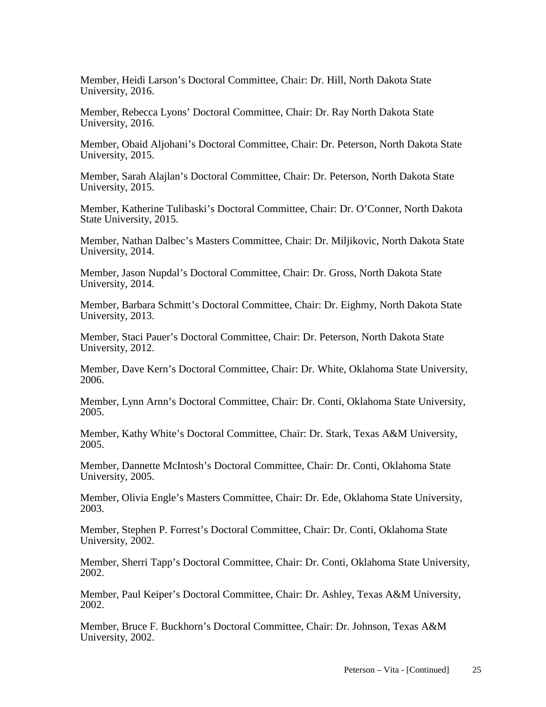Member, Heidi Larson's Doctoral Committee, Chair: Dr. Hill, North Dakota State University, 2016.

Member, Rebecca Lyons' Doctoral Committee, Chair: Dr. Ray North Dakota State University, 2016.

Member, Obaid Aljohani's Doctoral Committee, Chair: Dr. Peterson, North Dakota State University, 2015.

Member, Sarah Alajlan's Doctoral Committee, Chair: Dr. Peterson, North Dakota State University, 2015.

Member, Katherine Tulibaski's Doctoral Committee, Chair: Dr. O'Conner, North Dakota State University, 2015.

Member, Nathan Dalbec's Masters Committee, Chair: Dr. Miljikovic, North Dakota State University, 2014.

Member, Jason Nupdal's Doctoral Committee, Chair: Dr. Gross, North Dakota State University, 2014.

Member, Barbara Schmitt's Doctoral Committee, Chair: Dr. Eighmy, North Dakota State University, 2013.

Member, Staci Pauer's Doctoral Committee, Chair: Dr. Peterson, North Dakota State University, 2012.

Member, Dave Kern's Doctoral Committee, Chair: Dr. White, Oklahoma State University, 2006.

Member, Lynn Arnn's Doctoral Committee, Chair: Dr. Conti, Oklahoma State University, 2005.

Member, Kathy White's Doctoral Committee, Chair: Dr. Stark, Texas A&M University, 2005.

Member, Dannette McIntosh's Doctoral Committee, Chair: Dr. Conti, Oklahoma State University, 2005.

Member, Olivia Engle's Masters Committee, Chair: Dr. Ede, Oklahoma State University, 2003.

Member, Stephen P. Forrest's Doctoral Committee, Chair: Dr. Conti, Oklahoma State University, 2002.

Member, Sherri Tapp's Doctoral Committee, Chair: Dr. Conti, Oklahoma State University, 2002.

Member, Paul Keiper's Doctoral Committee, Chair: Dr. Ashley, Texas A&M University, 2002.

Member, Bruce F. Buckhorn's Doctoral Committee, Chair: Dr. Johnson, Texas A&M University, 2002.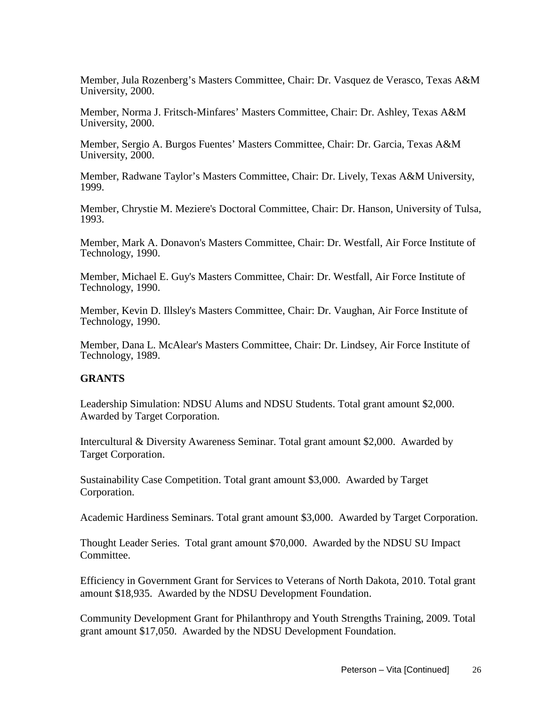Member, Jula Rozenberg's Masters Committee, Chair: Dr. Vasquez de Verasco, Texas A&M University, 2000.

Member, Norma J. Fritsch-Minfares' Masters Committee, Chair: Dr. Ashley, Texas A&M University, 2000.

Member, Sergio A. Burgos Fuentes' Masters Committee, Chair: Dr. Garcia, Texas A&M University, 2000.

Member, Radwane Taylor's Masters Committee, Chair: Dr. Lively, Texas A&M University, 1999.

Member, Chrystie M. Meziere's Doctoral Committee, Chair: Dr. Hanson, University of Tulsa, 1993.

Member, Mark A. Donavon's Masters Committee, Chair: Dr. Westfall, Air Force Institute of Technology, 1990.

Member, Michael E. Guy's Masters Committee, Chair: Dr. Westfall, Air Force Institute of Technology, 1990.

Member, Kevin D. Illsley's Masters Committee, Chair: Dr. Vaughan, Air Force Institute of Technology, 1990.

Member, Dana L. McAlear's Masters Committee, Chair: Dr. Lindsey, Air Force Institute of Technology, 1989.

## **GRANTS**

Leadership Simulation: NDSU Alums and NDSU Students. Total grant amount \$2,000. Awarded by Target Corporation.

Intercultural & Diversity Awareness Seminar. Total grant amount \$2,000. Awarded by Target Corporation.

Sustainability Case Competition. Total grant amount \$3,000. Awarded by Target Corporation.

Academic Hardiness Seminars. Total grant amount \$3,000. Awarded by Target Corporation.

Thought Leader Series. Total grant amount \$70,000. Awarded by the NDSU SU Impact Committee.

Efficiency in Government Grant for Services to Veterans of North Dakota, 2010. Total grant amount \$18,935. Awarded by the NDSU Development Foundation.

Community Development Grant for Philanthropy and Youth Strengths Training, 2009. Total grant amount \$17,050. Awarded by the NDSU Development Foundation.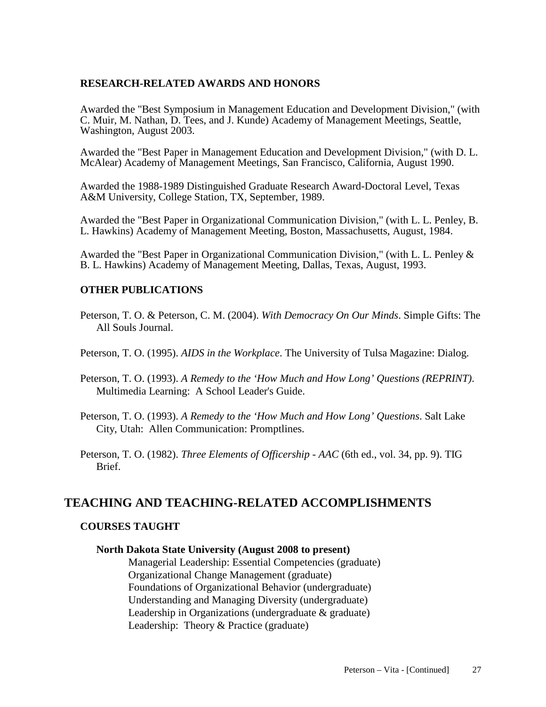#### **RESEARCH-RELATED AWARDS AND HONORS**

Awarded the "Best Symposium in Management Education and Development Division," (with C. Muir, M. Nathan, D. Tees, and J. Kunde) Academy of Management Meetings, Seattle, Washington, August 2003.

Awarded the "Best Paper in Management Education and Development Division," (with D. L. McAlear) Academy of Management Meetings, San Francisco, California, August 1990.

Awarded the 1988-1989 Distinguished Graduate Research Award-Doctoral Level, Texas A&M University, College Station, TX, September, 1989.

Awarded the "Best Paper in Organizational Communication Division," (with L. L. Penley, B. L. Hawkins) Academy of Management Meeting, Boston, Massachusetts, August, 1984.

Awarded the "Best Paper in Organizational Communication Division," (with L. L. Penley & B. L. Hawkins) Academy of Management Meeting, Dallas, Texas, August, 1993.

## **OTHER PUBLICATIONS**

Peterson, T. O. & Peterson, C. M. (2004). *With Democracy On Our Minds*. Simple Gifts: The All Souls Journal.

Peterson, T. O. (1995). *AIDS in the Workplace*. The University of Tulsa Magazine: Dialog.

- Peterson, T. O. (1993). *A Remedy to the 'How Much and How Long' Questions (REPRINT)*. Multimedia Learning: A School Leader's Guide.
- Peterson, T. O. (1993). *A Remedy to the 'How Much and How Long' Questions*. Salt Lake City, Utah: Allen Communication: Promptlines.
- Peterson, T. O. (1982). *Three Elements of Officership - AAC* (6th ed., vol. 34, pp. 9). TIG Brief.

# **TEACHING AND TEACHING-RELATED ACCOMPLISHMENTS**

#### **COURSES TAUGHT**

#### **North Dakota State University (August 2008 to present)**

Managerial Leadership: Essential Competencies (graduate) Organizational Change Management (graduate) Foundations of Organizational Behavior (undergraduate) Understanding and Managing Diversity (undergraduate) Leadership in Organizations (undergraduate & graduate) Leadership: Theory & Practice (graduate)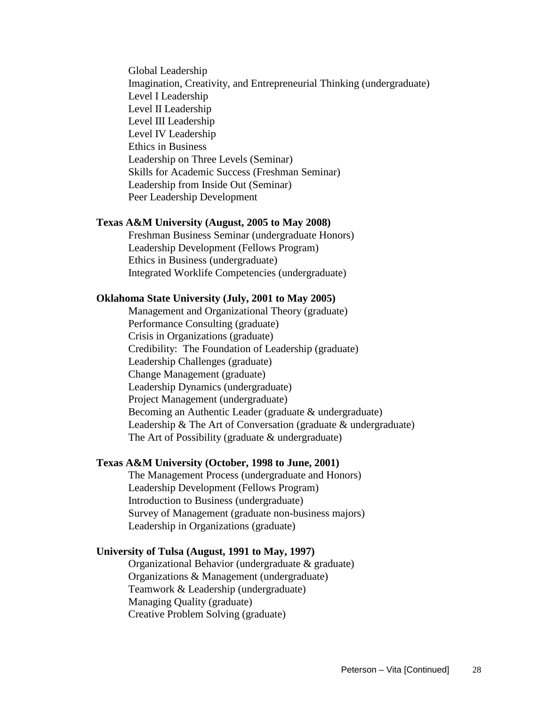Global Leadership Imagination, Creativity, and Entrepreneurial Thinking (undergraduate) Level I Leadership Level II Leadership Level III Leadership Level IV Leadership Ethics in Business Leadership on Three Levels (Seminar) Skills for Academic Success (Freshman Seminar) Leadership from Inside Out (Seminar) Peer Leadership Development

#### **Texas A&M University (August, 2005 to May 2008)**

Freshman Business Seminar (undergraduate Honors) Leadership Development (Fellows Program) Ethics in Business (undergraduate) Integrated Worklife Competencies (undergraduate)

#### **Oklahoma State University (July, 2001 to May 2005)**

Management and Organizational Theory (graduate) Performance Consulting (graduate) Crisis in Organizations (graduate) Credibility: The Foundation of Leadership (graduate) Leadership Challenges (graduate) Change Management (graduate) Leadership Dynamics (undergraduate) Project Management (undergraduate) Becoming an Authentic Leader (graduate & undergraduate) Leadership & The Art of Conversation (graduate & undergraduate) The Art of Possibility (graduate & undergraduate)

#### **Texas A&M University (October, 1998 to June, 2001)**

The Management Process (undergraduate and Honors) Leadership Development (Fellows Program) Introduction to Business (undergraduate) Survey of Management (graduate non-business majors) Leadership in Organizations (graduate)

## **University of Tulsa (August, 1991 to May, 1997)**

Organizational Behavior (undergraduate & graduate) Organizations & Management (undergraduate) Teamwork & Leadership (undergraduate) Managing Quality (graduate) Creative Problem Solving (graduate)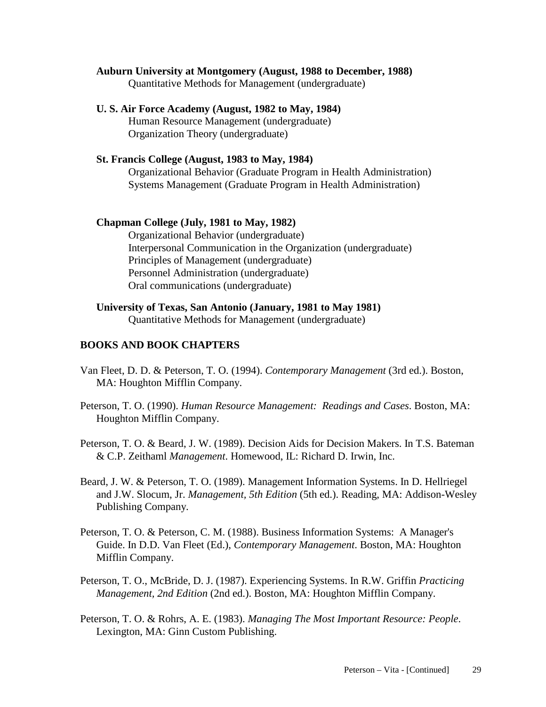- **Auburn University at Montgomery (August, 1988 to December, 1988)** Quantitative Methods for Management (undergraduate)
- **U. S. Air Force Academy (August, 1982 to May, 1984)** Human Resource Management (undergraduate) Organization Theory (undergraduate)
- **St. Francis College (August, 1983 to May, 1984)** Organizational Behavior (Graduate Program in Health Administration) Systems Management (Graduate Program in Health Administration)

#### **Chapman College (July, 1981 to May, 1982)**

Organizational Behavior (undergraduate) Interpersonal Communication in the Organization (undergraduate) Principles of Management (undergraduate) Personnel Administration (undergraduate) Oral communications (undergraduate)

#### **BOOKS AND BOOK CHAPTERS**

- Van Fleet, D. D. & Peterson, T. O. (1994). *Contemporary Management* (3rd ed.). Boston, MA: Houghton Mifflin Company.
- Peterson, T. O. (1990). *Human Resource Management: Readings and Cases*. Boston, MA: Houghton Mifflin Company.
- Peterson, T. O. & Beard, J. W. (1989). Decision Aids for Decision Makers. In T.S. Bateman & C.P. Zeithaml *Management*. Homewood, IL: Richard D. Irwin, Inc.
- Beard, J. W. & Peterson, T. O. (1989). Management Information Systems. In D. Hellriegel and J.W. Slocum, Jr. *Management, 5th Edition* (5th ed.). Reading, MA: Addison-Wesley Publishing Company.
- Peterson, T. O. & Peterson, C. M. (1988). Business Information Systems: A Manager's Guide. In D.D. Van Fleet (Ed.), *Contemporary Management*. Boston, MA: Houghton Mifflin Company.
- Peterson, T. O., McBride, D. J. (1987). Experiencing Systems. In R.W. Griffin *Practicing Management, 2nd Edition* (2nd ed.). Boston, MA: Houghton Mifflin Company.
- Peterson, T. O. & Rohrs, A. E. (1983). *Managing The Most Important Resource: People*. Lexington, MA: Ginn Custom Publishing.

**University of Texas, San Antonio (January, 1981 to May 1981)** Quantitative Methods for Management (undergraduate)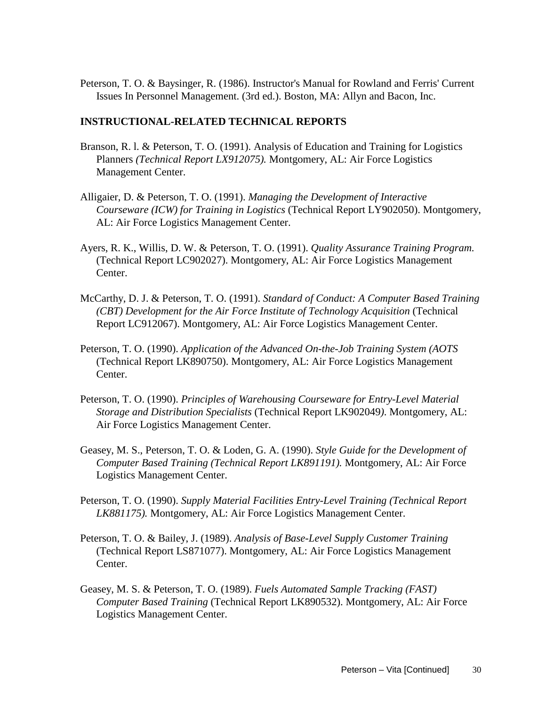Peterson, T. O. & Baysinger, R. (1986). Instructor's Manual for Rowland and Ferris' Current Issues In Personnel Management. (3rd ed.). Boston, MA: Allyn and Bacon, Inc.

#### **INSTRUCTIONAL-RELATED TECHNICAL REPORTS**

- Branson, R. l. & Peterson, T. O. (1991). Analysis of Education and Training for Logistics Planners *(Technical Report LX912075).* Montgomery, AL: Air Force Logistics Management Center.
- Alligaier, D. & Peterson, T. O. (1991). *Managing the Development of Interactive Courseware (ICW) for Training in Logistics* (Technical Report LY902050). Montgomery, AL: Air Force Logistics Management Center.
- Ayers, R. K., Willis, D. W. & Peterson, T. O. (1991). *Quality Assurance Training Program.*  (Technical Report LC902027). Montgomery, AL: Air Force Logistics Management Center.
- McCarthy, D. J. & Peterson, T. O. (1991). *Standard of Conduct: A Computer Based Training (CBT)* Development for the Air Force Institute of Technology Acquisition (Technical) Report LC912067). Montgomery, AL: Air Force Logistics Management Center.
- Peterson, T. O. (1990). *Application of the Advanced On-the-Job Training System (AOTS*  (Technical Report LK890750). Montgomery, AL: Air Force Logistics Management Center.
- Peterson, T. O. (1990). *Principles of Warehousing Courseware for Entry-Level Material Storage and Distribution Specialists* (Technical Report LK902049*)*. Montgomery, AL: Air Force Logistics Management Center.
- Geasey, M. S., Peterson, T. O. & Loden, G. A. (1990). *Style Guide for the Development of Computer Based Training (Technical Report LK891191).* Montgomery, AL: Air Force Logistics Management Center.
- Peterson, T. O. (1990). *Supply Material Facilities Entry-Level Training (Technical Report LK881175).* Montgomery, AL: Air Force Logistics Management Center.
- Peterson, T. O. & Bailey, J. (1989). *Analysis of Base-Level Supply Customer Training*  (Technical Report LS871077). Montgomery, AL: Air Force Logistics Management Center.
- Geasey, M. S. & Peterson, T. O. (1989). *Fuels Automated Sample Tracking (FAST) Computer Based Training* (Technical Report LK890532). Montgomery, AL: Air Force Logistics Management Center.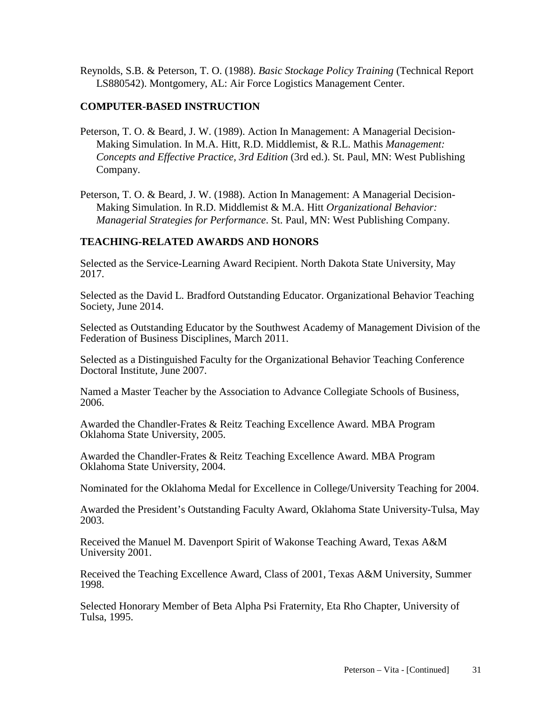Reynolds, S.B. & Peterson, T. O. (1988). *Basic Stockage Policy Training* (Technical Report LS880542). Montgomery, AL: Air Force Logistics Management Center.

#### **COMPUTER-BASED INSTRUCTION**

- Peterson, T. O. & Beard, J. W. (1989). Action In Management: A Managerial Decision-Making Simulation. In M.A. Hitt, R.D. Middlemist, & R.L. Mathis *Management: Concepts and Effective Practice, 3rd Edition* (3rd ed.). St. Paul, MN: West Publishing Company.
- Peterson, T. O. & Beard, J. W. (1988). Action In Management: A Managerial Decision-Making Simulation. In R.D. Middlemist & M.A. Hitt *Organizational Behavior: Managerial Strategies for Performance*. St. Paul, MN: West Publishing Company.

## **TEACHING-RELATED AWARDS AND HONORS**

Selected as the Service-Learning Award Recipient. North Dakota State University, May 2017.

Selected as the David L. Bradford Outstanding Educator. Organizational Behavior Teaching Society, June 2014.

Selected as Outstanding Educator by the Southwest Academy of Management Division of the Federation of Business Disciplines, March 2011.

Selected as a Distinguished Faculty for the Organizational Behavior Teaching Conference Doctoral Institute, June 2007.

Named a Master Teacher by the Association to Advance Collegiate Schools of Business, 2006.

Awarded the Chandler-Frates & Reitz Teaching Excellence Award. MBA Program Oklahoma State University, 2005.

Awarded the Chandler-Frates & Reitz Teaching Excellence Award. MBA Program Oklahoma State University, 2004.

Nominated for the Oklahoma Medal for Excellence in College/University Teaching for 2004.

Awarded the President's Outstanding Faculty Award, Oklahoma State University-Tulsa, May 2003.

Received the Manuel M. Davenport Spirit of Wakonse Teaching Award, Texas A&M University 2001.

Received the Teaching Excellence Award, Class of 2001, Texas A&M University, Summer 1998.

Selected Honorary Member of Beta Alpha Psi Fraternity, Eta Rho Chapter, University of Tulsa, 1995.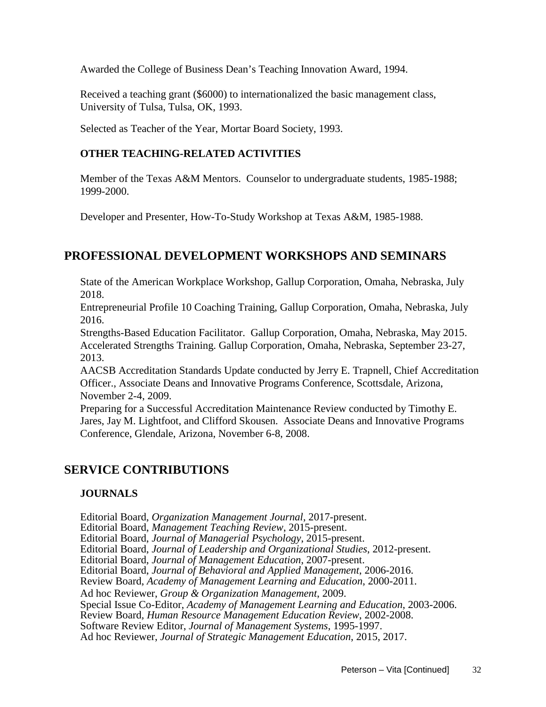Awarded the College of Business Dean's Teaching Innovation Award, 1994.

Received a teaching grant (\$6000) to internationalized the basic management class, University of Tulsa, Tulsa, OK, 1993.

Selected as Teacher of the Year, Mortar Board Society, 1993.

## **OTHER TEACHING-RELATED ACTIVITIES**

Member of the Texas A&M Mentors. Counselor to undergraduate students, 1985-1988; 1999-2000.

Developer and Presenter, How-To-Study Workshop at Texas A&M, 1985-1988.

# **PROFESSIONAL DEVELOPMENT WORKSHOPS AND SEMINARS**

State of the American Workplace Workshop, Gallup Corporation, Omaha, Nebraska, July 2018.

Entrepreneurial Profile 10 Coaching Training, Gallup Corporation, Omaha, Nebraska, July 2016.

Strengths-Based Education Facilitator. Gallup Corporation, Omaha, Nebraska, May 2015. Accelerated Strengths Training. Gallup Corporation, Omaha, Nebraska, September 23-27, 2013.

AACSB Accreditation Standards Update conducted by Jerry E. Trapnell, Chief Accreditation Officer., Associate Deans and Innovative Programs Conference, Scottsdale, Arizona, November 2-4, 2009.

Preparing for a Successful Accreditation Maintenance Review conducted by Timothy E. Jares, Jay M. Lightfoot, and Clifford Skousen. Associate Deans and Innovative Programs Conference, Glendale, Arizona, November 6-8, 2008.

# **SERVICE CONTRIBUTIONS**

#### **JOURNALS**

Editorial Board, *Organization Management Journal*, 2017-present.

Editorial Board, *Management Teaching Review*, 2015-present.

Editorial Board, *Journal of Managerial Psychology*, 2015-present.

Editorial Board, *Journal of Leadership and Organizational Studies*, 2012-present.

Editorial Board, *Journal of Management Education*, 2007-present.

Editorial Board, *Journal of Behavioral and Applied Management*, 2006-2016.

Review Board, *Academy of Management Learning and Education*, 2000-2011.

Ad hoc Reviewer, *Group & Organization Management*, 2009.

Special Issue Co-Editor, *Academy of Management Learning and Education*, 2003-2006.

Review Board*, Human Resource Management Education Review*, 2002-2008.

Software Review Editor, *Journal of Management Systems*, 1995-1997.

Ad hoc Reviewer, *Journal of Strategic Management Education*, 2015, 2017.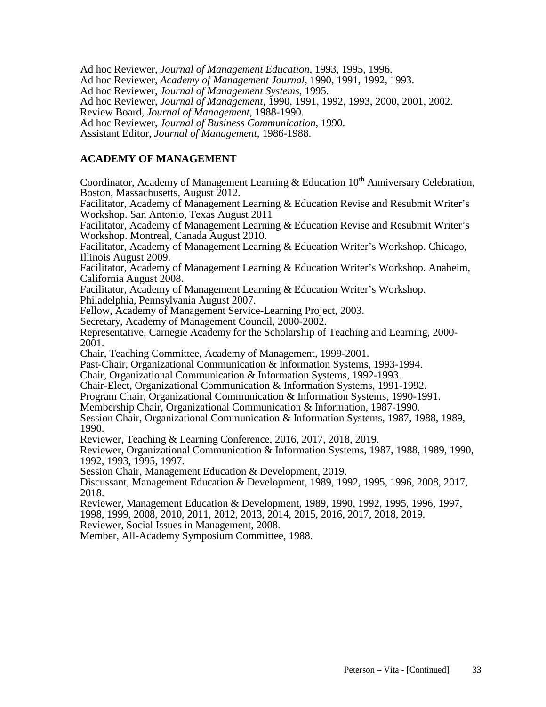Ad hoc Reviewer, *Journal of Management Education*, 1993, 1995, 1996.

Ad hoc Reviewer, *Academy of Management Journal*, 1990, 1991, 1992, 1993.

Ad hoc Reviewer, *Journal of Management Systems*, 1995.

Ad hoc Reviewer, *Journal of Management*, 1990, 1991, 1992, 1993, 2000, 2001, 2002.

Review Board, *Journal of Management*, 1988-1990.

Ad hoc Reviewer, *Journal of Business Communication*, 1990.

Assistant Editor, *Journal of Management*, 1986-1988.

## **ACADEMY OF MANAGEMENT**

Coordinator, Academy of Management Learning  $&$  Education  $10<sup>th</sup>$  Anniversary Celebration, Boston, Massachusetts, August 2012.

Facilitator, Academy of Management Learning & Education Revise and Resubmit Writer's Workshop. San Antonio, Texas August 2011

Facilitator, Academy of Management Learning & Education Revise and Resubmit Writer's Workshop. Montreal, Canada August 2010.

Facilitator, Academy of Management Learning & Education Writer's Workshop. Chicago, Illinois August 2009.

Facilitator, Academy of Management Learning & Education Writer's Workshop. Anaheim, California August 2008.

Facilitator, Academy of Management Learning & Education Writer's Workshop.

Philadelphia, Pennsylvania August 2007.

Fellow, Academy of Management Service-Learning Project, 2003.

Secretary, Academy of Management Council, 2000-2002.

Representative, Carnegie Academy for the Scholarship of Teaching and Learning, 2000- 2001.

Chair, Teaching Committee, Academy of Management, 1999-2001.

Past-Chair, Organizational Communication & Information Systems, 1993-1994.

Chair, Organizational Communication & Information Systems, 1992-1993.

Chair-Elect, Organizational Communication & Information Systems, 1991-1992.

Program Chair, Organizational Communication & Information Systems, 1990-1991.

Membership Chair, Organizational Communication & Information, 1987-1990.

Session Chair, Organizational Communication & Information Systems, 1987, 1988, 1989, 1990.

Reviewer, Teaching & Learning Conference, 2016, 2017, 2018, 2019.

Reviewer, Organizational Communication & Information Systems, 1987, 1988, 1989, 1990, 1992, 1993, 1995, 1997.

Session Chair, Management Education & Development, 2019.

Discussant, Management Education & Development, 1989, 1992, 1995, 1996, 2008, 2017, 2018.

Reviewer, Management Education & Development, 1989, 1990, 1992, 1995, 1996, 1997,

1998, 1999, 2008, 2010, 2011, 2012, 2013, 2014, 2015, 2016, 2017, 2018, 2019.

Reviewer, Social Issues in Management, 2008.

Member, All-Academy Symposium Committee, 1988.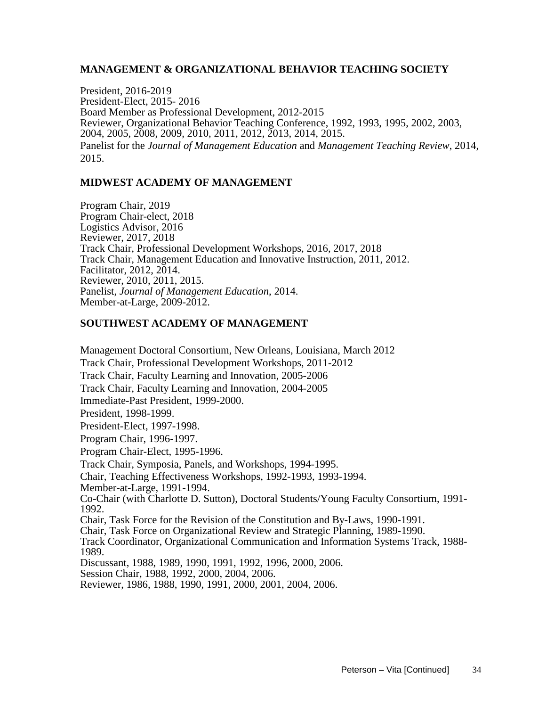#### **MANAGEMENT & ORGANIZATIONAL BEHAVIOR TEACHING SOCIETY**

President, 2016-2019 President-Elect, 2015- 2016 Board Member as Professional Development, 2012-2015 Reviewer, Organizational Behavior Teaching Conference, 1992, 1993, 1995, 2002, 2003, 2004, 2005, 2008, 2009, 2010, 2011, 2012, 2013, 2014, 2015. Panelist for the *Journal of Management Education* and *Management Teaching Review*, 2014, 2015.

#### **MIDWEST ACADEMY OF MANAGEMENT**

Program Chair, 2019 Program Chair-elect, 2018 Logistics Advisor, 2016 Reviewer, 2017, 2018 Track Chair, Professional Development Workshops, 2016, 2017, 2018 Track Chair, Management Education and Innovative Instruction, 2011, 2012. Facilitator, 2012, 2014. Reviewer, 2010, 2011, 2015. Panelist, *Journal of Management Education*, 2014. Member-at-Large, 2009-2012.

#### **SOUTHWEST ACADEMY OF MANAGEMENT**

Management Doctoral Consortium, New Orleans, Louisiana, March 2012 Track Chair, Professional Development Workshops, 2011-2012 Track Chair, Faculty Learning and Innovation, 2005-2006 Track Chair, Faculty Learning and Innovation, 2004-2005 Immediate-Past President, 1999-2000. President, 1998-1999. President-Elect, 1997-1998. Program Chair, 1996-1997. Program Chair-Elect, 1995-1996. Track Chair, Symposia, Panels, and Workshops, 1994-1995. Chair, Teaching Effectiveness Workshops, 1992-1993, 1993-1994. Member-at-Large, 1991-1994. Co-Chair (with Charlotte D. Sutton), Doctoral Students/Young Faculty Consortium, 1991- 1992. Chair, Task Force for the Revision of the Constitution and By-Laws, 1990-1991. Chair, Task Force on Organizational Review and Strategic Planning, 1989-1990. Track Coordinator, Organizational Communication and Information Systems Track, 1988- 1989. Discussant, 1988, 1989, 1990, 1991, 1992, 1996, 2000, 2006. Session Chair, 1988, 1992, 2000, 2004, 2006. Reviewer, 1986, 1988, 1990, 1991, 2000, 2001, 2004, 2006.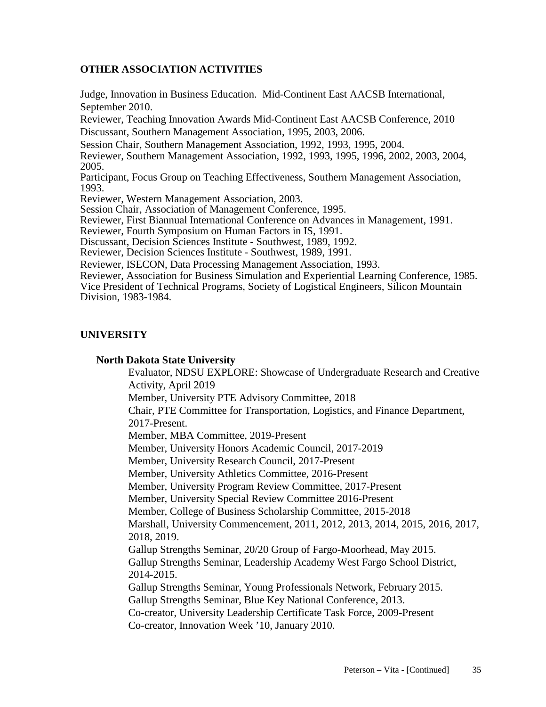# **OTHER ASSOCIATION ACTIVITIES**

Judge, Innovation in Business Education. Mid-Continent East AACSB International, September 2010. Reviewer, Teaching Innovation Awards Mid-Continent East AACSB Conference, 2010 Discussant, Southern Management Association, 1995, 2003, 2006. Session Chair, Southern Management Association, 1992, 1993, 1995, 2004. Reviewer, Southern Management Association, 1992, 1993, 1995, 1996, 2002, 2003, 2004, 2005. Participant, Focus Group on Teaching Effectiveness, Southern Management Association, 1993. Reviewer, Western Management Association, 2003. Session Chair, Association of Management Conference, 1995. Reviewer, First Biannual International Conference on Advances in Management, 1991. Reviewer, Fourth Symposium on Human Factors in IS, 1991. Discussant, Decision Sciences Institute - Southwest, 1989, 1992. Reviewer, Decision Sciences Institute - Southwest, 1989, 1991. Reviewer, ISECON, Data Processing Management Association, 1993. Reviewer, Association for Business Simulation and Experiential Learning Conference, 1985. Vice President of Technical Programs, Society of Logistical Engineers, Silicon Mountain Division, 1983-1984.

#### **UNIVERSITY**

#### **North Dakota State University**

Evaluator, NDSU EXPLORE: Showcase of Undergraduate Research and Creative Activity, April 2019 Member, University PTE Advisory Committee, 2018

Chair, PTE Committee for Transportation, Logistics, and Finance Department, 2017-Present.

Member, MBA Committee, 2019-Present

Member, University Honors Academic Council, 2017-2019

Member, University Research Council, 2017-Present

Member, University Athletics Committee, 2016-Present

Member, University Program Review Committee, 2017-Present

Member, University Special Review Committee 2016-Present

Member, College of Business Scholarship Committee, 2015-2018

Marshall, University Commencement, 2011, 2012, 2013, 2014, 2015, 2016, 2017, 2018, 2019.

Gallup Strengths Seminar, 20/20 Group of Fargo-Moorhead, May 2015. Gallup Strengths Seminar, Leadership Academy West Fargo School District, 2014-2015.

Gallup Strengths Seminar, Young Professionals Network, February 2015. Gallup Strengths Seminar, Blue Key National Conference, 2013.

Co-creator, University Leadership Certificate Task Force, 2009-Present

Co-creator, Innovation Week '10, January 2010.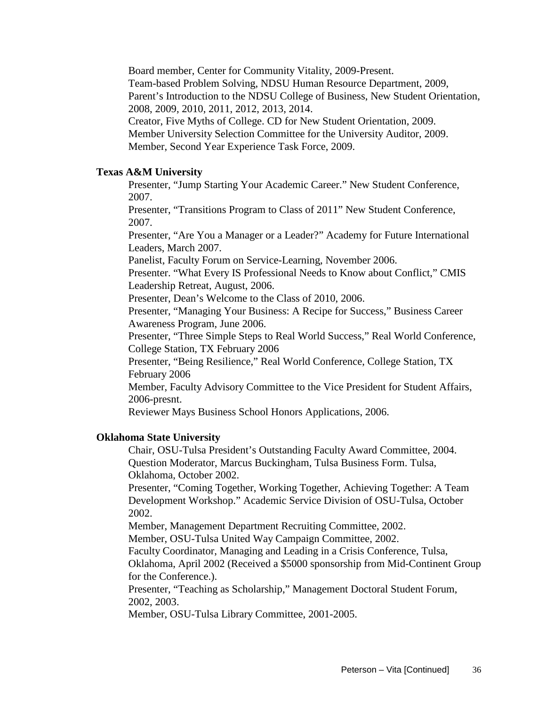Board member, Center for Community Vitality, 2009-Present.

Team-based Problem Solving, NDSU Human Resource Department, 2009,

Parent's Introduction to the NDSU College of Business, New Student Orientation, 2008, 2009, 2010, 2011, 2012, 2013, 2014.

Creator, Five Myths of College. CD for New Student Orientation, 2009.

Member University Selection Committee for the University Auditor, 2009. Member, Second Year Experience Task Force, 2009.

#### **Texas A&M University**

Presenter, "Jump Starting Your Academic Career." New Student Conference, 2007.

Presenter, "Transitions Program to Class of 2011" New Student Conference, 2007.

Presenter, "Are You a Manager or a Leader?" Academy for Future International Leaders, March 2007.

Panelist, Faculty Forum on Service-Learning, November 2006.

Presenter. "What Every IS Professional Needs to Know about Conflict," CMIS Leadership Retreat, August, 2006.

Presenter, Dean's Welcome to the Class of 2010, 2006.

Presenter, "Managing Your Business: A Recipe for Success," Business Career Awareness Program, June 2006.

Presenter, "Three Simple Steps to Real World Success," Real World Conference, College Station, TX February 2006

Presenter, "Being Resilience," Real World Conference, College Station, TX February 2006

Member, Faculty Advisory Committee to the Vice President for Student Affairs, 2006-presnt.

Reviewer Mays Business School Honors Applications, 2006.

#### **Oklahoma State University**

Chair, OSU-Tulsa President's Outstanding Faculty Award Committee, 2004. Question Moderator, Marcus Buckingham, Tulsa Business Form. Tulsa, Oklahoma, October 2002.

Presenter, "Coming Together, Working Together, Achieving Together: A Team Development Workshop." Academic Service Division of OSU-Tulsa, October 2002.

Member, Management Department Recruiting Committee, 2002.

Member, OSU-Tulsa United Way Campaign Committee, 2002.

Faculty Coordinator, Managing and Leading in a Crisis Conference, Tulsa,

Oklahoma, April 2002 (Received a \$5000 sponsorship from Mid-Continent Group for the Conference.).

Presenter, "Teaching as Scholarship," Management Doctoral Student Forum, 2002, 2003.

Member, OSU-Tulsa Library Committee, 2001-2005.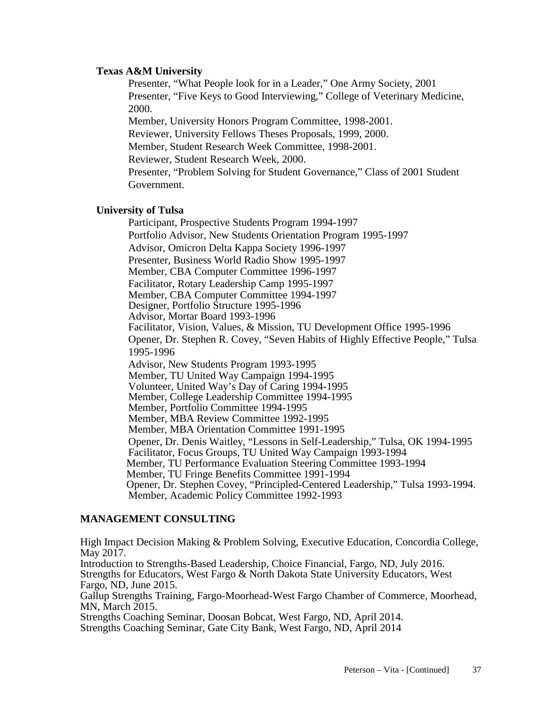#### **Texas A&M University**

Presenter, "What People look for in a Leader," One Army Society, 2001 Presenter, "Five Keys to Good Interviewing," College of Veterinary Medicine, 2000.

Member, University Honors Program Committee, 1998-2001. Reviewer, University Fellows Theses Proposals, 1999, 2000. Member, Student Research Week Committee, 1998-2001. Reviewer, Student Research Week, 2000. Presenter, "Problem Solving for Student Governance," Class of 2001 Student Government.

#### **University of Tulsa**

Participant, Prospective Students Program 1994-1997 Portfolio Advisor, New Students Orientation Program 1995-1997 Advisor, Omicron Delta Kappa Society 1996-1997 Presenter, Business World Radio Show 1995-1997 Member, CBA Computer Committee 1996-1997 Facilitator, Rotary Leadership Camp 1995-1997 Member, CBA Computer Committee 1994-1997 Designer, Portfolio Structure 1995-1996 Advisor, Mortar Board 1993-1996 Facilitator, Vision, Values, & Mission, TU Development Office 1995-1996 Opener, Dr. Stephen R. Covey, "Seven Habits of Highly Effective People," Tulsa 1995-1996 Advisor, New Students Program 1993-1995 Member, TU United Way Campaign 1994-1995 Volunteer, United Way's Day of Caring 1994-1995 Member, College Leadership Committee 1994-1995 Member, Portfolio Committee 1994-1995 Member, MBA Review Committee 1992-1995 Member, MBA Orientation Committee 1991-1995 Opener, Dr. Denis Waitley, "Lessons in Self-Leadership," Tulsa, OK 1994-1995 Facilitator, Focus Groups, TU United Way Campaign 1993-1994 Member, TU Performance Evaluation Steering Committee 1993-1994 Member, TU Fringe Benefits Committee 1991-1994 Opener, Dr. Stephen Covey, "Principled-Centered Leadership," Tulsa 1993-1994. Member, Academic Policy Committee 1992-1993

#### **MANAGEMENT CONSULTING**

High Impact Decision Making & Problem Solving, Executive Education, Concordia College, May 2017. Introduction to Strengths-Based Leadership, Choice Financial, Fargo, ND, July 2016. Strengths for Educators, West Fargo & North Dakota State University Educators, West Fargo, ND, June 2015. Gallup Strengths Training, Fargo-Moorhead-West Fargo Chamber of Commerce, Moorhead, MN, March 2015. Strengths Coaching Seminar, Doosan Bobcat, West Fargo, ND, April 2014. Strengths Coaching Seminar, Gate City Bank, West Fargo, ND, April 2014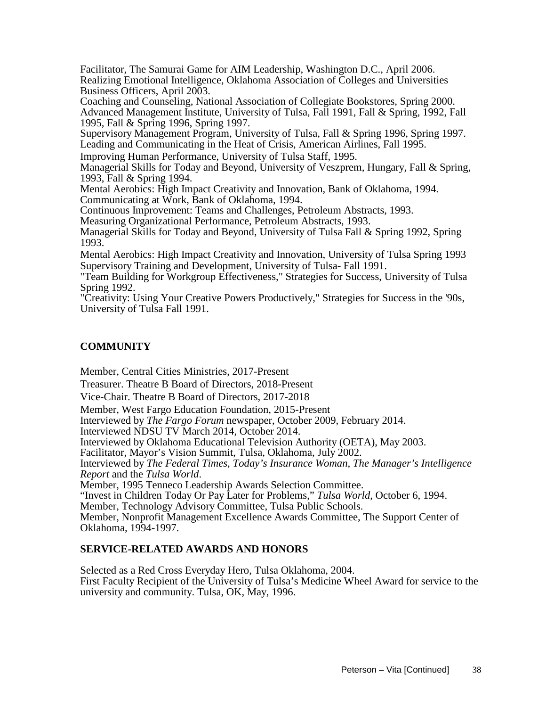Facilitator, The Samurai Game for AIM Leadership, Washington D.C., April 2006. Realizing Emotional Intelligence, Oklahoma Association of Colleges and Universities Business Officers, April 2003.

Coaching and Counseling, National Association of Collegiate Bookstores, Spring 2000. Advanced Management Institute, University of Tulsa, Fall 1991, Fall & Spring, 1992, Fall 1995, Fall & Spring 1996, Spring 1997.

Supervisory Management Program, University of Tulsa, Fall & Spring 1996, Spring 1997. Leading and Communicating in the Heat of Crisis, American Airlines, Fall 1995.

Improving Human Performance, University of Tulsa Staff, 1995.

Managerial Skills for Today and Beyond, University of Veszprem, Hungary, Fall & Spring, 1993, Fall & Spring 1994.

Mental Aerobics: High Impact Creativity and Innovation, Bank of Oklahoma, 1994. Communicating at Work, Bank of Oklahoma, 1994.

Continuous Improvement: Teams and Challenges, Petroleum Abstracts, 1993.

Measuring Organizational Performance, Petroleum Abstracts, 1993.

Managerial Skills for Today and Beyond, University of Tulsa Fall & Spring 1992, Spring 1993.

Mental Aerobics: High Impact Creativity and Innovation, University of Tulsa Spring 1993 Supervisory Training and Development, University of Tulsa- Fall 1991.

"Team Building for Workgroup Effectiveness," Strategies for Success, University of Tulsa Spring 1992.

"Creativity: Using Your Creative Powers Productively," Strategies for Success in the '90s, University of Tulsa Fall 1991.

## **COMMUNITY**

Member, Central Cities Ministries, 2017-Present

Treasurer. Theatre B Board of Directors, 2018-Present

Vice-Chair. Theatre B Board of Directors, 2017-2018

Member, West Fargo Education Foundation, 2015-Present

Interviewed by *The Fargo Forum* newspaper, October 2009, February 2014. Interviewed NDSU TV March 2014, October 2014.

Interviewed by Oklahoma Educational Television Authority (OETA), May 2003.

Facilitator, Mayor's Vision Summit, Tulsa, Oklahoma, July 2002.

Interviewed by *The Federal Times*, *Today's Insurance Woman*, *The Manager's Intelligence* 

*Member, 1995 Tenneco Leadership Awards Selection Committee.* 

"Invest in Children Today Or Pay Later for Problems," *Tulsa World*, October 6, 1994.

Member, Technology Advisory Committee, Tulsa Public Schools.

Member, Nonprofit Management Excellence Awards Committee, The Support Center of Oklahoma, 1994-1997.

#### **SERVICE-RELATED AWARDS AND HONORS**

Selected as a Red Cross Everyday Hero, Tulsa Oklahoma, 2004. First Faculty Recipient of the University of Tulsa's Medicine Wheel Award for service to the university and community. Tulsa, OK, May, 1996.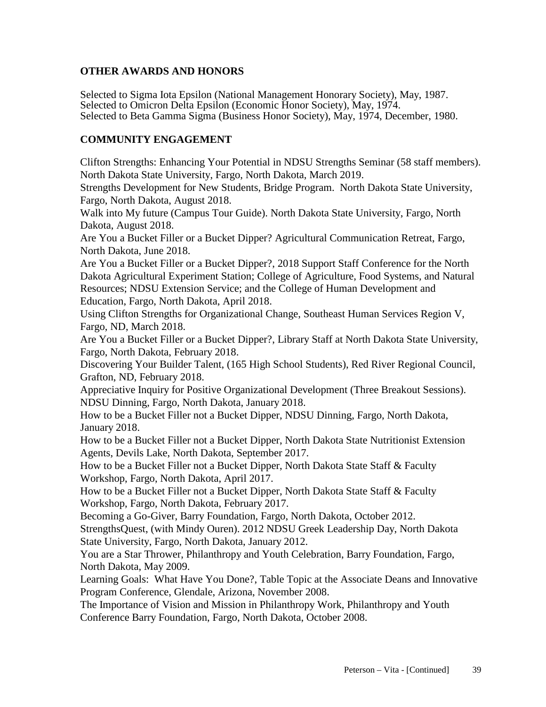# **OTHER AWARDS AND HONORS**

Selected to Sigma Iota Epsilon (National Management Honorary Society), May, 1987. Selected to Omicron Delta Epsilon (Economic Honor Society), May, 1974. Selected to Beta Gamma Sigma (Business Honor Society), May, 1974, December, 1980.

# **COMMUNITY ENGAGEMENT**

Clifton Strengths: Enhancing Your Potential in NDSU Strengths Seminar (58 staff members). North Dakota State University, Fargo, North Dakota, March 2019.

Strengths Development for New Students, Bridge Program. North Dakota State University, Fargo, North Dakota, August 2018.

Walk into My future (Campus Tour Guide). North Dakota State University, Fargo, North Dakota, August 2018.

Are You a Bucket Filler or a Bucket Dipper? Agricultural Communication Retreat, Fargo, North Dakota, June 2018.

Are You a Bucket Filler or a Bucket Dipper?, 2018 Support Staff Conference for the North Dakota Agricultural Experiment Station; College of Agriculture, Food Systems, and Natural Resources; NDSU Extension Service; and the College of Human Development and Education, Fargo, North Dakota, April 2018.

Using Clifton Strengths for Organizational Change, Southeast Human Services Region V, Fargo, ND, March 2018.

Are You a Bucket Filler or a Bucket Dipper?, Library Staff at North Dakota State University, Fargo, North Dakota, February 2018.

Discovering Your Builder Talent, (165 High School Students), Red River Regional Council, Grafton, ND, February 2018.

Appreciative Inquiry for Positive Organizational Development (Three Breakout Sessions). NDSU Dinning, Fargo, North Dakota, January 2018.

How to be a Bucket Filler not a Bucket Dipper, NDSU Dinning, Fargo, North Dakota, January 2018.

How to be a Bucket Filler not a Bucket Dipper, North Dakota State Nutritionist Extension Agents, Devils Lake, North Dakota, September 2017.

How to be a Bucket Filler not a Bucket Dipper, North Dakota State Staff & Faculty Workshop, Fargo, North Dakota, April 2017.

How to be a Bucket Filler not a Bucket Dipper, North Dakota State Staff & Faculty Workshop, Fargo, North Dakota, February 2017.

Becoming a Go-Giver, Barry Foundation, Fargo, North Dakota, October 2012.

StrengthsQuest, (with Mindy Ouren). 2012 NDSU Greek Leadership Day, North Dakota State University, Fargo, North Dakota, January 2012.

You are a Star Thrower, Philanthropy and Youth Celebration, Barry Foundation, Fargo, North Dakota, May 2009.

Learning Goals: What Have You Done?, Table Topic at the Associate Deans and Innovative Program Conference, Glendale, Arizona, November 2008.

The Importance of Vision and Mission in Philanthropy Work, Philanthropy and Youth Conference Barry Foundation, Fargo, North Dakota, October 2008.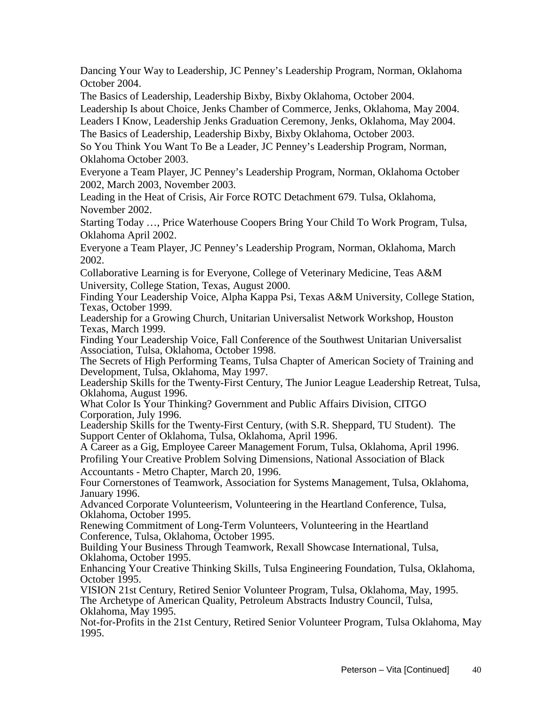Dancing Your Way to Leadership, JC Penney's Leadership Program, Norman, Oklahoma October 2004.

The Basics of Leadership, Leadership Bixby, Bixby Oklahoma, October 2004.

Leadership Is about Choice, Jenks Chamber of Commerce, Jenks, Oklahoma, May 2004.

Leaders I Know, Leadership Jenks Graduation Ceremony, Jenks, Oklahoma, May 2004. The Basics of Leadership, Leadership Bixby, Bixby Oklahoma, October 2003.

So You Think You Want To Be a Leader, JC Penney's Leadership Program, Norman, Oklahoma October 2003.

Everyone a Team Player, JC Penney's Leadership Program, Norman, Oklahoma October 2002, March 2003, November 2003.

Leading in the Heat of Crisis, Air Force ROTC Detachment 679. Tulsa, Oklahoma, November 2002.

Starting Today …, Price Waterhouse Coopers Bring Your Child To Work Program, Tulsa, Oklahoma April 2002.

Everyone a Team Player, JC Penney's Leadership Program, Norman, Oklahoma, March 2002.

Collaborative Learning is for Everyone, College of Veterinary Medicine, Teas A&M University, College Station, Texas, August 2000.

Finding Your Leadership Voice, Alpha Kappa Psi, Texas A&M University, College Station, Texas, October 1999.

Leadership for a Growing Church, Unitarian Universalist Network Workshop, Houston Texas, March 1999.

Finding Your Leadership Voice, Fall Conference of the Southwest Unitarian Universalist Association, Tulsa, Oklahoma, October 1998.

The Secrets of High Performing Teams, Tulsa Chapter of American Society of Training and Development, Tulsa, Oklahoma, May 1997.

Leadership Skills for the Twenty-First Century, The Junior League Leadership Retreat, Tulsa, Oklahoma, August 1996.

What Color Is Your Thinking? Government and Public Affairs Division, CITGO Corporation, July 1996.

Leadership Skills for the Twenty-First Century, (with S.R. Sheppard, TU Student). The Support Center of Oklahoma, Tulsa, Oklahoma, April 1996.

A Career as a Gig, Employee Career Management Forum, Tulsa, Oklahoma, April 1996.

Profiling Your Creative Problem Solving Dimensions, National Association of Black Accountants - Metro Chapter, March 20, 1996.

Four Cornerstones of Teamwork, Association for Systems Management, Tulsa, Oklahoma, January 1996.

Advanced Corporate Volunteerism, Volunteering in the Heartland Conference, Tulsa, Oklahoma, October 1995.

Renewing Commitment of Long-Term Volunteers, Volunteering in the Heartland Conference, Tulsa, Oklahoma, October 1995.

Building Your Business Through Teamwork, Rexall Showcase International, Tulsa, Oklahoma, October 1995.

Enhancing Your Creative Thinking Skills, Tulsa Engineering Foundation, Tulsa, Oklahoma, October 1995.

VISION 21st Century, Retired Senior Volunteer Program, Tulsa, Oklahoma, May, 1995. The Archetype of American Quality, Petroleum Abstracts Industry Council, Tulsa, Oklahoma, May 1995.

Not-for-Profits in the 21st Century, Retired Senior Volunteer Program, Tulsa Oklahoma, May 1995.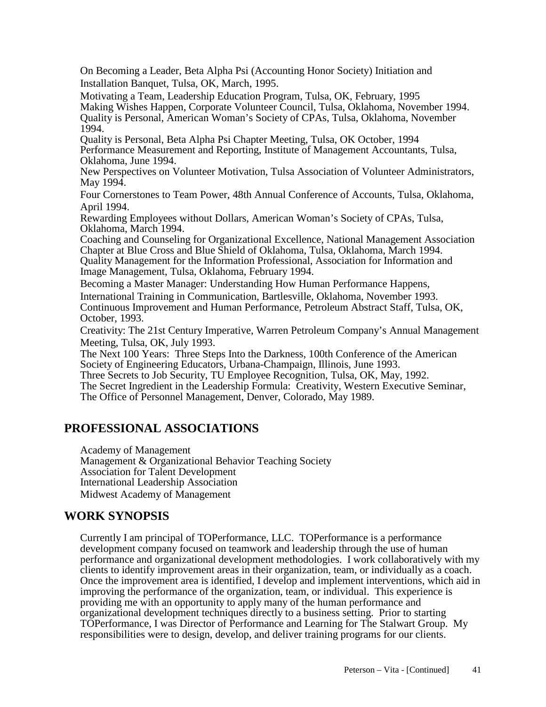On Becoming a Leader, Beta Alpha Psi (Accounting Honor Society) Initiation and Installation Banquet, Tulsa, OK, March, 1995.

Motivating a Team, Leadership Education Program, Tulsa, OK, February, 1995 Making Wishes Happen, Corporate Volunteer Council, Tulsa, Oklahoma, November 1994. Quality is Personal, American Woman's Society of CPAs, Tulsa, Oklahoma, November 1994.

Quality is Personal, Beta Alpha Psi Chapter Meeting, Tulsa, OK October, 1994 Performance Measurement and Reporting, Institute of Management Accountants, Tulsa, Oklahoma, June 1994.

New Perspectives on Volunteer Motivation, Tulsa Association of Volunteer Administrators, May 1994.

Four Cornerstones to Team Power, 48th Annual Conference of Accounts, Tulsa, Oklahoma, April 1994.

Rewarding Employees without Dollars, American Woman's Society of CPAs, Tulsa, Oklahoma, March 1994.

Coaching and Counseling for Organizational Excellence, National Management Association Chapter at Blue Cross and Blue Shield of Oklahoma, Tulsa, Oklahoma, March 1994. Quality Management for the Information Professional, Association for Information and Image Management, Tulsa, Oklahoma, February 1994.

Becoming a Master Manager: Understanding How Human Performance Happens,

International Training in Communication, Bartlesville, Oklahoma, November 1993. Continuous Improvement and Human Performance, Petroleum Abstract Staff, Tulsa, OK, October, 1993.

Creativity: The 21st Century Imperative, Warren Petroleum Company's Annual Management Meeting, Tulsa, OK, July 1993.

The Next 100 Years: Three Steps Into the Darkness, 100th Conference of the American Society of Engineering Educators, Urbana-Champaign, Illinois, June 1993.

Three Secrets to Job Security, TU Employee Recognition, Tulsa, OK, May, 1992. The Secret Ingredient in the Leadership Formula: Creativity, Western Executive Seminar, The Office of Personnel Management, Denver, Colorado, May 1989.

# **PROFESSIONAL ASSOCIATIONS**

Academy of Management

Management & Organizational Behavior Teaching Society Association for Talent Development International Leadership Association Midwest Academy of Management

# **WORK SYNOPSIS**

Currently I am principal of TOPerformance, LLC. TOPerformance is a performance development company focused on teamwork and leadership through the use of human performance and organizational development methodologies. I work collaboratively with my clients to identify improvement areas in their organization, team, or individually as a coach. Once the improvement area is identified, I develop and implement interventions, which aid in improving the performance of the organization, team, or individual. This experience is providing me with an opportunity to apply many of the human performance and organizational development techniques directly to a business setting. Prior to starting TOPerformance, I was Director of Performance and Learning for The Stalwart Group. My responsibilities were to design, develop, and deliver training programs for our clients.